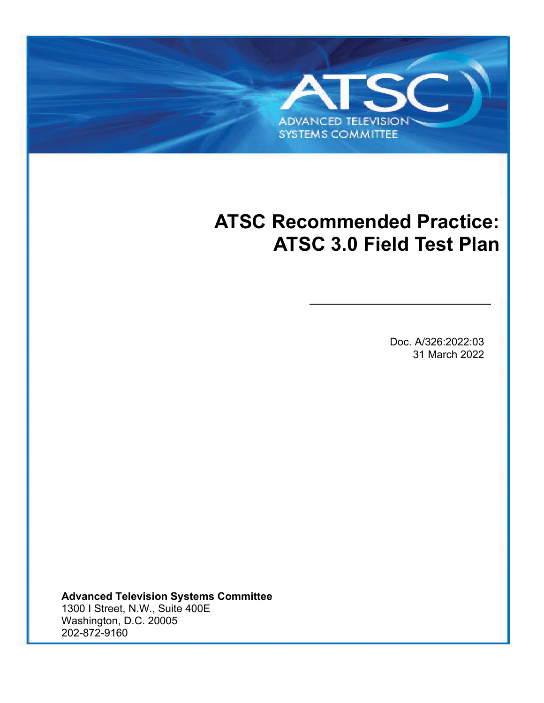# <span id="page-0-1"></span>**ATSC Recommended Practice: ATSC 3.0 Field Test Plan**

<span id="page-0-5"></span><span id="page-0-3"></span>**ADVANCED TELEVISION SYSTEMS COMMITTEE** 

<span id="page-0-4"></span>ATSC [A/326:2022:03](#page-0-0) [ATSC 3.0 Field Test Plan](#page-0-1) [31 March 2022](#page-0-2)

<span id="page-0-2"></span><span id="page-0-0"></span>Doc. A/326:2022:03 31 March 2022

**Advanced Television Systems Committee** 1300 I Street, N.W., Suite 400E Washington, D.C. 20005 202-872-9160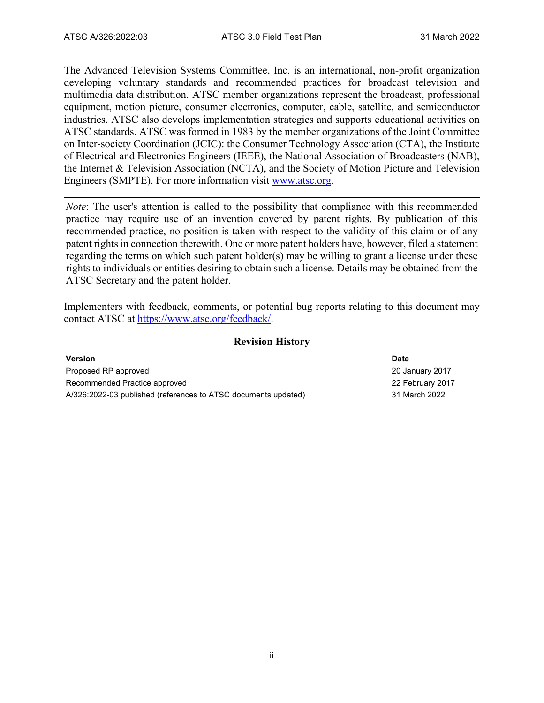The Advanced Television Systems Committee, Inc. is an international, non-profit organization developing voluntary standards and recommended practices for broadcast television and multimedia data distribution. ATSC member organizations represent the broadcast, professional equipment, motion picture, consumer electronics, computer, cable, satellite, and semiconductor industries. ATSC also develops implementation strategies and supports educational activities on ATSC standards. ATSC was formed in 1983 by the member organizations of the Joint Committee on Inter-society Coordination (JCIC): the Consumer Technology Association (CTA), the Institute of Electrical and Electronics Engineers (IEEE), the National Association of Broadcasters (NAB), the Internet & Television Association (NCTA), and the Society of Motion Picture and Television Engineers (SMPTE). For more information visit [www.atsc.org.](http://www.atsc.org/)

*Note*: The user's attention is called to the possibility that compliance with this recommended practice may require use of an invention covered by patent rights. By publication of this recommended practice, no position is taken with respect to the validity of this claim or of any patent rights in connection therewith. One or more patent holders have, however, filed a statement regarding the terms on which such patent holder(s) may be willing to grant a license under these rights to individuals or entities desiring to obtain such a license. Details may be obtained from the ATSC Secretary and the patent holder.

Implementers with feedback, comments, or potential bug reports relating to this document may contact ATSC at [https://www.atsc.org/feedback/.](https://www.atsc.org/feedback/)

## **Revision History**

| <b>Version</b>                                                 | <b>Date</b>            |
|----------------------------------------------------------------|------------------------|
| Proposed RP approved                                           | <b>20 January 2017</b> |
| Recommended Practice approved                                  | 22 February 2017       |
| A/326:2022-03 published (references to ATSC documents updated) | I31 March 2022         |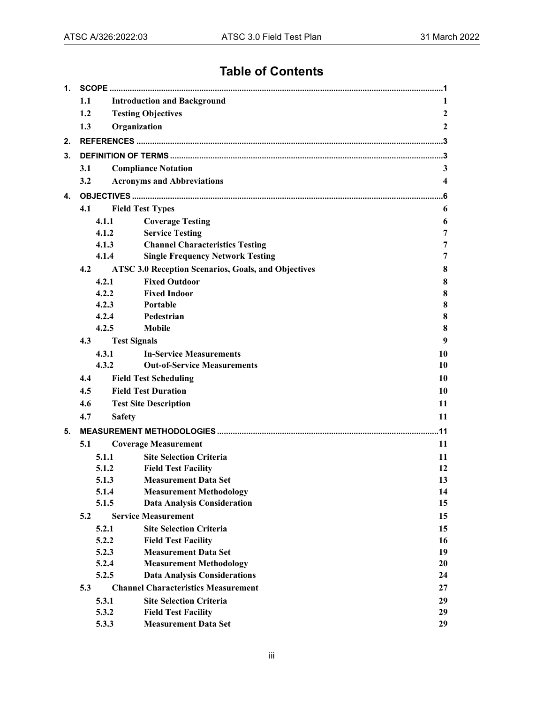## **Table of Contents**

| 1. |                                           |                           |                                                                       |                         |  |  |  |  |  |
|----|-------------------------------------------|---------------------------|-----------------------------------------------------------------------|-------------------------|--|--|--|--|--|
|    | 1.1<br><b>Introduction and Background</b> |                           |                                                                       |                         |  |  |  |  |  |
|    | 1.2                                       | <b>Testing Objectives</b> | $\boldsymbol{2}$                                                      |                         |  |  |  |  |  |
|    | 1.3<br>Organization                       |                           |                                                                       |                         |  |  |  |  |  |
| 2. |                                           |                           |                                                                       |                         |  |  |  |  |  |
| 3. |                                           |                           |                                                                       |                         |  |  |  |  |  |
|    | 3.1                                       |                           | <b>Compliance Notation</b>                                            | $\mathbf{3}$            |  |  |  |  |  |
|    | 3.2                                       |                           | <b>Acronyms and Abbreviations</b>                                     | $\overline{\mathbf{4}}$ |  |  |  |  |  |
|    |                                           |                           |                                                                       | .6                      |  |  |  |  |  |
|    | 4.                                        |                           |                                                                       |                         |  |  |  |  |  |
|    | 4.1                                       |                           | <b>Field Test Types</b>                                               | 6                       |  |  |  |  |  |
|    | 4.1.1                                     |                           | <b>Coverage Testing</b>                                               | 6                       |  |  |  |  |  |
|    | 4.1.2<br>4.1.3                            |                           | <b>Service Testing</b><br><b>Channel Characteristics Testing</b>      | 7<br>7                  |  |  |  |  |  |
|    | 4.1.4                                     |                           | <b>Single Frequency Network Testing</b>                               | 7                       |  |  |  |  |  |
|    | 4.2                                       |                           | <b>ATSC 3.0 Reception Scenarios, Goals, and Objectives</b>            | 8                       |  |  |  |  |  |
|    |                                           |                           |                                                                       |                         |  |  |  |  |  |
|    | 4.2.1<br>4.2.2                            |                           | <b>Fixed Outdoor</b><br><b>Fixed Indoor</b>                           | 8<br>8                  |  |  |  |  |  |
|    | 4.2.3                                     |                           | Portable                                                              | 8                       |  |  |  |  |  |
|    |                                           | 4.2.4                     | Pedestrian                                                            | 8                       |  |  |  |  |  |
|    |                                           | 4.2.5<br><b>Mobile</b>    |                                                                       |                         |  |  |  |  |  |
|    | 4.3                                       | <b>Test Signals</b>       |                                                                       | 8<br>9                  |  |  |  |  |  |
|    | 4.3.1                                     |                           | <b>In-Service Measurements</b>                                        | 10                      |  |  |  |  |  |
|    | 4.3.2                                     |                           | <b>Out-of-Service Measurements</b>                                    | 10                      |  |  |  |  |  |
|    | 4.4                                       |                           | <b>Field Test Scheduling</b>                                          | 10                      |  |  |  |  |  |
|    | 4.5                                       |                           | <b>Field Test Duration</b>                                            | 10                      |  |  |  |  |  |
|    | 4.6                                       |                           | <b>Test Site Description</b>                                          | 11                      |  |  |  |  |  |
|    | 4.7                                       |                           |                                                                       | 11                      |  |  |  |  |  |
|    |                                           | <b>Safety</b>             |                                                                       |                         |  |  |  |  |  |
| 5. |                                           |                           |                                                                       |                         |  |  |  |  |  |
|    | 5.1                                       |                           | <b>Coverage Measurement</b>                                           | 11                      |  |  |  |  |  |
|    | 5.1.1                                     |                           | <b>Site Selection Criteria</b>                                        | 11                      |  |  |  |  |  |
|    | 5.1.2                                     |                           | <b>Field Test Facility</b>                                            | 12                      |  |  |  |  |  |
|    | 5.1.3                                     |                           | <b>Measurement Data Set</b>                                           | 13                      |  |  |  |  |  |
|    | 5.1.4                                     |                           | <b>Measurement Methodology</b>                                        | 14                      |  |  |  |  |  |
|    | 5.1.5                                     |                           | <b>Data Analysis Consideration</b>                                    | 15                      |  |  |  |  |  |
|    | 5.2                                       |                           | <b>Service Measurement</b>                                            | 15                      |  |  |  |  |  |
|    | 5.2.1                                     |                           | <b>Site Selection Criteria</b>                                        | 15                      |  |  |  |  |  |
|    | 5.2.2                                     |                           | <b>Field Test Facility</b>                                            | 16                      |  |  |  |  |  |
|    | 5.2.3<br>5.2.4                            |                           | <b>Measurement Data Set</b>                                           | 19                      |  |  |  |  |  |
|    | 5.2.5                                     |                           | <b>Measurement Methodology</b><br><b>Data Analysis Considerations</b> | 20<br>24                |  |  |  |  |  |
|    |                                           |                           | <b>Channel Characteristics Measurement</b>                            |                         |  |  |  |  |  |
|    | 5.3                                       |                           |                                                                       | 27                      |  |  |  |  |  |
|    | 5.3.1                                     |                           | <b>Site Selection Criteria</b>                                        | 29                      |  |  |  |  |  |
|    | 5.3.2                                     |                           | <b>Field Test Facility</b>                                            | 29                      |  |  |  |  |  |
|    | 5.3.3                                     |                           | <b>Measurement Data Set</b>                                           | 29                      |  |  |  |  |  |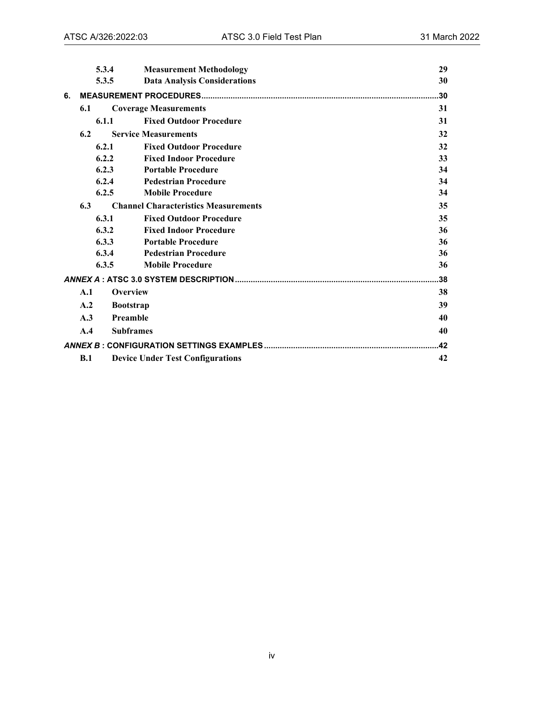| 29  |
|-----|
|     |
| 30  |
| .30 |
| 31  |
| 31  |
| 32  |
| 32  |
| 33  |
| 34  |
| 34  |
| 34  |
| 35  |
| 35  |
| 36  |
| 36  |
| 36  |
| 36  |
| .38 |
| 38  |
| 39  |
| 40  |
| 40  |
| .42 |
| 42  |
|     |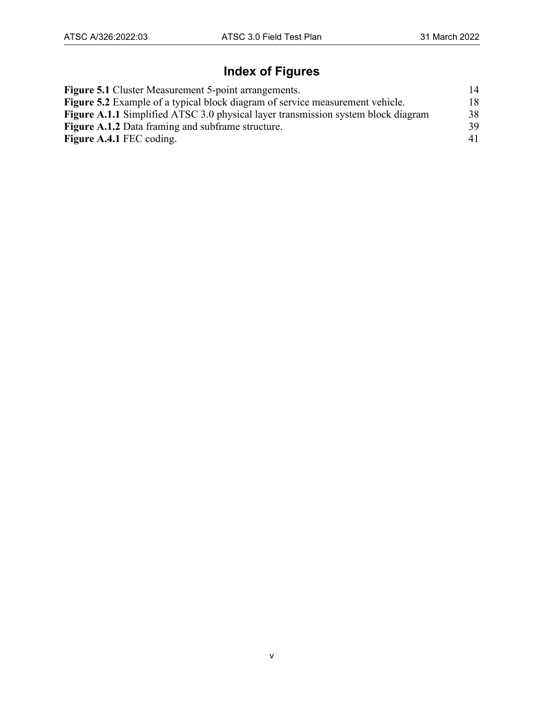## **Index of Figures**

| <b>Figure 5.1</b> Cluster Measurement 5-point arrangements.                              | 14  |
|------------------------------------------------------------------------------------------|-----|
| <b>Figure 5.2</b> Example of a typical block diagram of service measurement vehicle.     | 18. |
| <b>Figure A.1.1</b> Simplified ATSC 3.0 physical layer transmission system block diagram | 38  |
| Figure A.1.2 Data framing and subframe structure.                                        | 39  |
| <b>Figure A.4.1 FEC coding.</b>                                                          | 41  |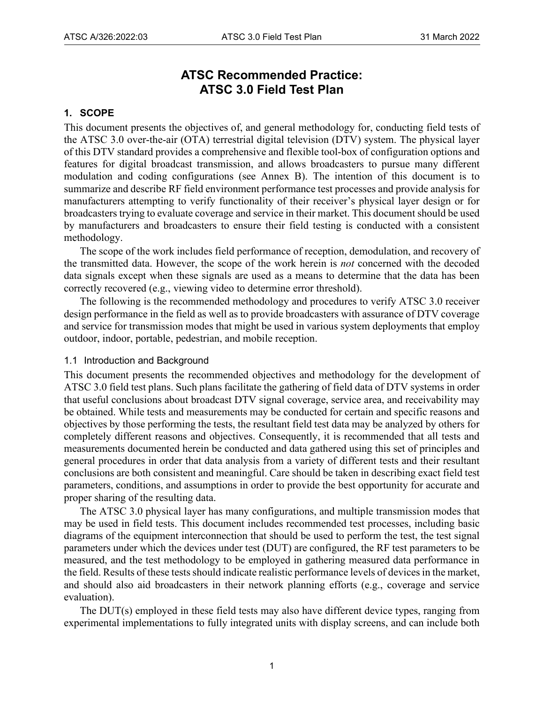## **ATSC Recommended Practice: [ATSC 3.0 Field Test Plan](#page-0-1)**

#### <span id="page-5-0"></span>**1. SCOPE**

This document presents the objectives of, and general methodology for, conducting field tests of the ATSC 3.0 over-the-air (OTA) terrestrial digital television (DTV) system. The physical layer of this DTV standard provides a comprehensive and flexible tool-box of configuration options and features for digital broadcast transmission, and allows broadcasters to pursue many different modulation and coding configurations (see [Annex B\)](#page-46-0). The intention of this document is to summarize and describe RF field environment performance test processes and provide analysis for manufacturers attempting to verify functionality of their receiver's physical layer design or for broadcasters trying to evaluate coverage and service in their market. This document should be used by manufacturers and broadcasters to ensure their field testing is conducted with a consistent methodology.

The scope of the work includes field performance of reception, demodulation, and recovery of the transmitted data. However, the scope of the work herein is *not* concerned with the decoded data signals except when these signals are used as a means to determine that the data has been correctly recovered (e.g., viewing video to determine error threshold).

The following is the recommended methodology and procedures to verify ATSC 3.0 receiver design performance in the field as well as to provide broadcasters with assurance of DTV coverage and service for transmission modes that might be used in various system deployments that employ outdoor, indoor, portable, pedestrian, and mobile reception.

#### <span id="page-5-1"></span>1.1 Introduction and Background

This document presents the recommended objectives and methodology for the development of ATSC 3.0 field test plans. Such plans facilitate the gathering of field data of DTV systems in order that useful conclusions about broadcast DTV signal coverage, service area, and receivability may be obtained. While tests and measurements may be conducted for certain and specific reasons and objectives by those performing the tests, the resultant field test data may be analyzed by others for completely different reasons and objectives. Consequently, it is recommended that all tests and measurements documented herein be conducted and data gathered using this set of principles and general procedures in order that data analysis from a variety of different tests and their resultant conclusions are both consistent and meaningful. Care should be taken in describing exact field test parameters, conditions, and assumptions in order to provide the best opportunity for accurate and proper sharing of the resulting data.

The ATSC 3.0 physical layer has many configurations, and multiple transmission modes that may be used in field tests. This document includes recommended test processes, including basic diagrams of the equipment interconnection that should be used to perform the test, the test signal parameters under which the devices under test (DUT) are configured, the RF test parameters to be measured, and the test methodology to be employed in gathering measured data performance in the field. Results of these tests should indicate realistic performance levels of devices in the market, and should also aid broadcasters in their network planning efforts (e.g., coverage and service evaluation).

The DUT(s) employed in these field tests may also have different device types, ranging from experimental implementations to fully integrated units with display screens, and can include both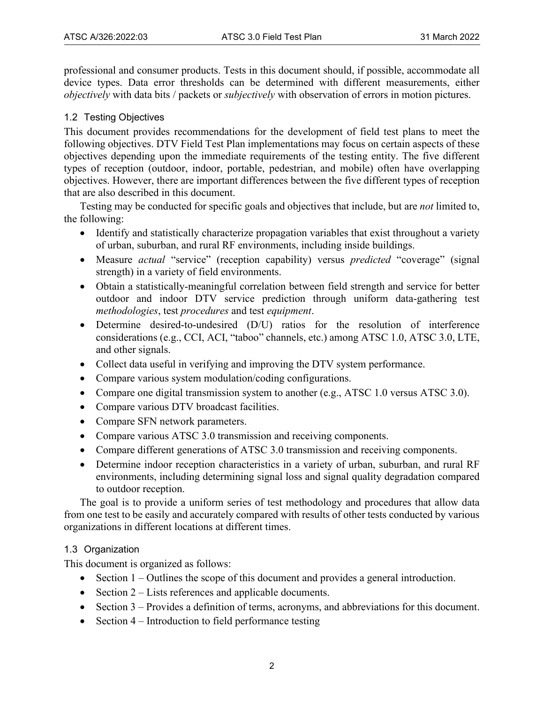professional and consumer products. Tests in this document should, if possible, accommodate all device types. Data error thresholds can be determined with different measurements, either *objectively* with data bits / packets or *subjectively* with observation of errors in motion pictures.

## <span id="page-6-0"></span>1.2 Testing Objectives

This document provides recommendations for the development of field test plans to meet the following objectives. DTV Field Test Plan implementations may focus on certain aspects of these objectives depending upon the immediate requirements of the testing entity. The five different types of reception (outdoor, indoor, portable, pedestrian, and mobile) often have overlapping objectives. However, there are important differences between the five different types of reception that are also described in this document.

Testing may be conducted for specific goals and objectives that include, but are *not* limited to, the following:

- Identify and statistically characterize propagation variables that exist throughout a variety of urban, suburban, and rural RF environments, including inside buildings.
- Measure *actual* "service" (reception capability) versus *predicted* "coverage" (signal strength) in a variety of field environments.
- Obtain a statistically-meaningful correlation between field strength and service for better outdoor and indoor DTV service prediction through uniform data-gathering test *methodologies*, test *procedures* and test *equipment*.
- Determine desired-to-undesired (D/U) ratios for the resolution of interference considerations (e.g., CCI, ACI, "taboo" channels, etc.) among ATSC 1.0, ATSC 3.0, LTE, and other signals.
- Collect data useful in verifying and improving the DTV system performance.
- Compare various system modulation/coding configurations.
- Compare one digital transmission system to another (e.g., ATSC 1.0 versus ATSC 3.0).
- Compare various DTV broadcast facilities.
- Compare SFN network parameters.
- Compare various ATSC 3.0 transmission and receiving components.
- Compare different generations of ATSC 3.0 transmission and receiving components.
- Determine indoor reception characteristics in a variety of urban, suburban, and rural RF environments, including determining signal loss and signal quality degradation compared to outdoor reception.

The goal is to provide a uniform series of test methodology and procedures that allow data from one test to be easily and accurately compared with results of other tests conducted by various organizations in different locations at different times.

## <span id="page-6-1"></span>1.3 Organization

This document is organized as follows:

- Section 1 Outlines the scope of this document and provides a general introduction.
- Section 2 Lists references and applicable documents.
- Section 3 Provides a definition of terms, acronyms, and abbreviations for this document.
- Section 4 Introduction to field performance testing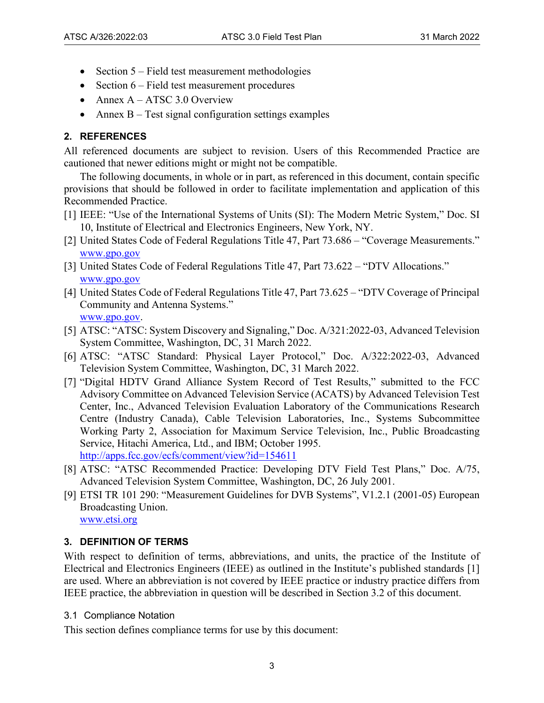- Section 5 Field test measurement methodologies
- Section 6 Field test measurement procedures
- Annex  $A ATSC$  3.0 Overview
- <span id="page-7-3"></span>• Annex  $B - Test$  signal configuration settings examples

## <span id="page-7-0"></span>**2. REFERENCES**

All referenced documents are subject to revision. Users of this Recommended Practice are cautioned that newer editions might or might not be compatible.

The following documents, in whole or in part, as referenced in this document, contain specific provisions that should be followed in order to facilitate implementation and application of this Recommended Practice.

- [1] IEEE: "Use of the International Systems of Units (SI): The Modern Metric System," Doc. SI 10, Institute of Electrical and Electronics Engineers, New York, NY.
- <span id="page-7-4"></span>[2] United States Code of Federal Regulations Title 47, Part 73.686 – "Coverage Measurements." [www.gpo.gov](http://www.gpo.gov/)
- [3] United States Code of Federal Regulations Title 47, Part 73.622 "DTV Allocations." [www.gpo.gov](http://www.gpo.gov/)
- [4] United States Code of Federal Regulations Title 47, Part 73.625 "DTV Coverage of Principal Community and Antenna Systems." [www.gpo.gov.](http://www.gpo.gov/)
- [5] ATSC: "ATSC: System Discovery and Signaling," Doc. A/321:2022-03, Advanced Television System Committee, Washington, DC, 31 March 2022.
- [6] ATSC: "ATSC Standard: Physical Layer Protocol," Doc. A/322:2022-03, Advanced Television System Committee, Washington, DC, 31 March 2022.
- [7] "Digital HDTV Grand Alliance System Record of Test Results," submitted to the FCC Advisory Committee on Advanced Television Service (ACATS) by Advanced Television Test Center, Inc., Advanced Television Evaluation Laboratory of the Communications Research Centre (Industry Canada), Cable Television Laboratories, Inc., Systems Subcommittee Working Party 2, Association for Maximum Service Television, Inc., Public Broadcasting Service, Hitachi America, Ltd., and IBM; October 1995. <http://apps.fcc.gov/ecfs/comment/view?id=154611>
- [8] ATSC: "ATSC Recommended Practice: Developing DTV Field Test Plans," Doc. A/75, Advanced Television System Committee, Washington, DC, 26 July 2001.
- [9] ETSI TR 101 290: "Measurement Guidelines for DVB Systems", V1.2.1 (2001-05) European Broadcasting Union.

[www.etsi.org](http://www.etsi.org/)

## <span id="page-7-1"></span>**3. DEFINITION OF TERMS**

With respect to definition of terms, abbreviations, and units, the practice of the Institute of Electrical and Electronics Engineers (IEEE) as outlined in the Institute's published standards [\[1\]](#page-7-3) are used. Where an abbreviation is not covered by IEEE practice or industry practice differs from IEEE practice, the abbreviation in question will be described in Section [3.2](#page-8-0) of this document.

## <span id="page-7-2"></span>3.1 Compliance Notation

This section defines compliance terms for use by this document: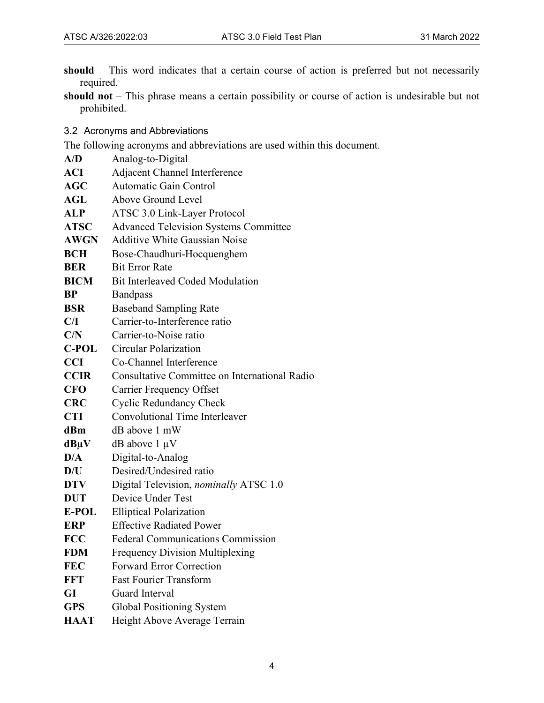- **should** This word indicates that a certain course of action is preferred but not necessarily required.
- **should not** This phrase means a certain possibility or course of action is undesirable but not prohibited.
- <span id="page-8-0"></span>3.2 Acronyms and Abbreviations
- The following acronyms and abbreviations are used within this document.

| A/D          | Analog-to-Digital                             |
|--------------|-----------------------------------------------|
| ACI          | Adjacent Channel Interference                 |
| AGC          | Automatic Gain Control                        |
| AGL          | Above Ground Level                            |
| <b>ALP</b>   | ATSC 3.0 Link-Layer Protocol                  |
| <b>ATSC</b>  | <b>Advanced Television Systems Committee</b>  |
| <b>AWGN</b>  | <b>Additive White Gaussian Noise</b>          |
| <b>BCH</b>   | Bose-Chaudhuri-Hocquenghem                    |
| <b>BER</b>   | <b>Bit Error Rate</b>                         |
| <b>BICM</b>  | <b>Bit Interleaved Coded Modulation</b>       |
| BP           | <b>Bandpass</b>                               |
| BSR          | <b>Baseband Sampling Rate</b>                 |
| C/I          | Carrier-to-Interference ratio                 |
| C/N          | Carrier-to-Noise ratio                        |
| <b>C-POL</b> | Circular Polarization                         |
| <b>CCI</b>   | Co-Channel Interference                       |
| <b>CCIR</b>  | Consultative Committee on International Radio |
| <b>CFO</b>   | <b>Carrier Frequency Offset</b>               |
| <b>CRC</b>   | <b>Cyclic Redundancy Check</b>                |
| <b>CTI</b>   | <b>Convolutional Time Interleaver</b>         |
| dBm          | dB above 1 mW                                 |
| $dB\mu V$    | $dB$ above $1 \mu V$                          |
| D/A          | Digital-to-Analog                             |
| D/U          | Desired/Undesired ratio                       |
| <b>DTV</b>   | Digital Television, nominally ATSC 1.0        |
| <b>DUT</b>   | Device Under Test                             |
| <b>E-POL</b> | <b>Elliptical Polarization</b>                |
| <b>ERP</b>   | <b>Effective Radiated Power</b>               |
| <b>FCC</b>   | <b>Federal Communications Commission</b>      |
| FDM          | <b>Frequency Division Multiplexing</b>        |
| <b>FEC</b>   | <b>Forward Error Correction</b>               |
| <b>FFT</b>   | <b>Fast Fourier Transform</b>                 |
| GI           | Guard Interval                                |
| <b>GPS</b>   | <b>Global Positioning System</b>              |
| <b>HAAT</b>  | Height Above Average Terrain                  |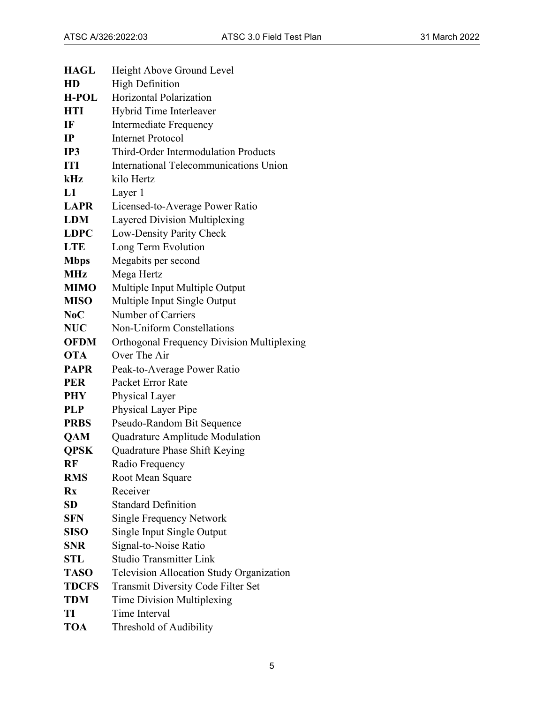| <b>HAGL</b>             | Height Above Ground Level                  |
|-------------------------|--------------------------------------------|
| HD                      | <b>High Definition</b>                     |
| <b>H-POL</b>            | Horizontal Polarization                    |
| <b>HTI</b>              | Hybrid Time Interleaver                    |
| IF                      | <b>Intermediate Frequency</b>              |
| IP                      | <b>Internet Protocol</b>                   |
| IP3                     | Third-Order Intermodulation Products       |
| <b>ITI</b>              | International Telecommunications Union     |
| kHz                     | kilo Hertz                                 |
| L1                      | Layer 1                                    |
| <b>LAPR</b>             | Licensed-to-Average Power Ratio            |
| LDM                     | Layered Division Multiplexing              |
| <b>LDPC</b>             | Low-Density Parity Check                   |
| <b>LTE</b>              | Long Term Evolution                        |
| <b>Mbps</b>             | Megabits per second                        |
| <b>MHz</b>              | Mega Hertz                                 |
| <b>MIMO</b>             | Multiple Input Multiple Output             |
| <b>MISO</b>             | Multiple Input Single Output               |
| NoC                     | Number of Carriers                         |
| <b>NUC</b>              | Non-Uniform Constellations                 |
| <b>OFDM</b>             | Orthogonal Frequency Division Multiplexing |
| <b>OTA</b>              | Over The Air                               |
| <b>PAPR</b>             | Peak-to-Average Power Ratio                |
| <b>PER</b>              | Packet Error Rate                          |
| <b>PHY</b>              | Physical Layer                             |
| <b>PLP</b>              | Physical Layer Pipe                        |
| <b>PRBS</b>             | Pseudo-Random Bit Sequence                 |
| QAM                     | Quadrature Amplitude Modulation            |
| <b>QPSK</b>             | Quadrature Phase Shift Keying              |
| <b>RF</b>               | Radio Frequency                            |
| <b>RMS</b>              | Root Mean Square                           |
| $\mathbf{R} \mathbf{x}$ | Receiver                                   |
| <b>SD</b>               | <b>Standard Definition</b>                 |
| <b>SFN</b>              | <b>Single Frequency Network</b>            |
| <b>SISO</b>             | Single Input Single Output                 |
| <b>SNR</b>              | Signal-to-Noise Ratio                      |
| STL                     | <b>Studio Transmitter Link</b>             |
| <b>TASO</b>             | Television Allocation Study Organization   |
| <b>TDCFS</b>            | Transmit Diversity Code Filter Set         |
| <b>TDM</b>              | Time Division Multiplexing                 |
| TI                      | Time Interval                              |
| <b>TOA</b>              | Threshold of Audibility                    |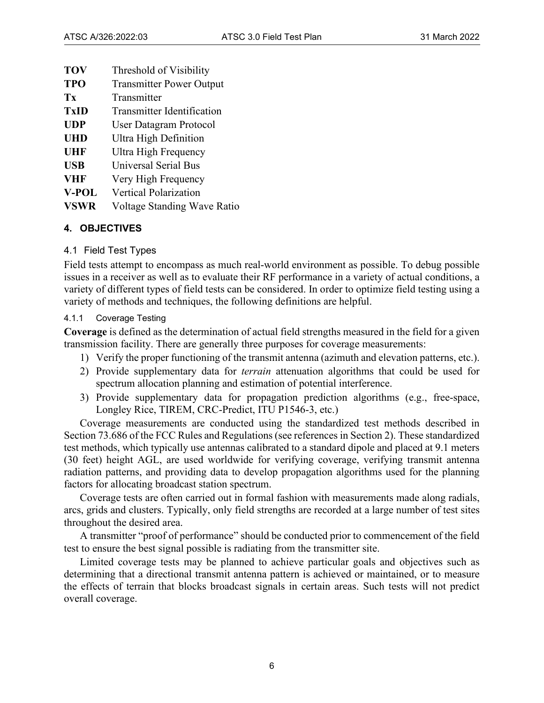- **TOV** Threshold of Visibility
- **TPO** Transmitter Power Output
- Tx Transmitter **TxID** Transmitter Identification **UDP** User Datagram Protocol **UHD** Ultra High Definition **UHF** Ultra High Frequency **USB** Universal Serial Bus **VHF** Very High Frequency **V-POL** Vertical Polarization
- **VSWR** Voltage Standing Wave Ratio

## <span id="page-10-0"></span>**4. OBJECTIVES**

## <span id="page-10-1"></span>4.1 Field Test Types

Field tests attempt to encompass as much real-world environment as possible. To debug possible issues in a receiver as well as to evaluate their RF performance in a variety of actual conditions, a variety of different types of field tests can be considered. In order to optimize field testing using a variety of methods and techniques, the following definitions are helpful.

## <span id="page-10-2"></span>4.1.1 Coverage Testing

**Coverage** is defined as the determination of actual field strengths measured in the field for a given transmission facility. There are generally three purposes for coverage measurements:

- 1) Verify the proper functioning of the transmit antenna (azimuth and elevation patterns, etc.).
- 2) Provide supplementary data for *terrain* attenuation algorithms that could be used for spectrum allocation planning and estimation of potential interference.
- 3) Provide supplementary data for propagation prediction algorithms (e.g., free-space, Longley Rice, TIREM, CRC-Predict, ITU P1546-3, etc.)

Coverage measurements are conducted using the standardized test methods described in Section 73.686 of the FCC Rules and Regulations (see references in Section [2\)](#page-7-0). These standardized test methods, which typically use antennas calibrated to a standard dipole and placed at 9.1 meters (30 feet) height AGL, are used worldwide for verifying coverage, verifying transmit antenna radiation patterns, and providing data to develop propagation algorithms used for the planning factors for allocating broadcast station spectrum.

Coverage tests are often carried out in formal fashion with measurements made along radials, arcs, grids and clusters. Typically, only field strengths are recorded at a large number of test sites throughout the desired area.

A transmitter "proof of performance" should be conducted prior to commencement of the field test to ensure the best signal possible is radiating from the transmitter site.

Limited coverage tests may be planned to achieve particular goals and objectives such as determining that a directional transmit antenna pattern is achieved or maintained, or to measure the effects of terrain that blocks broadcast signals in certain areas. Such tests will not predict overall coverage.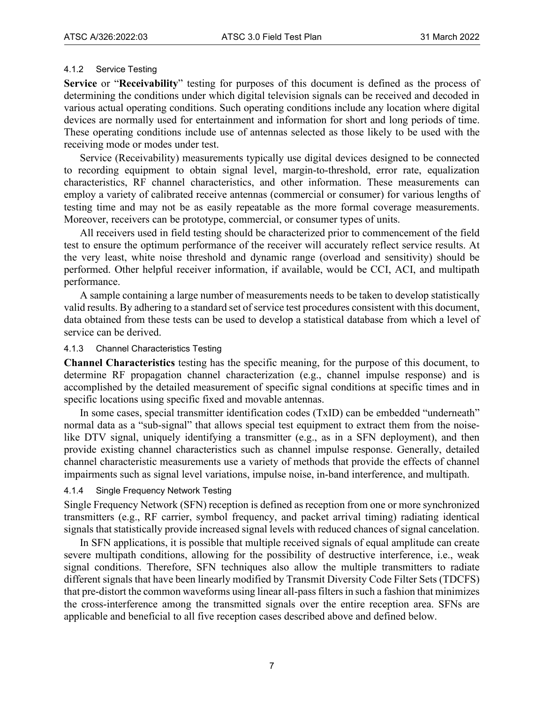#### <span id="page-11-0"></span>4.1.2 Service Testing

**Service** or "**Receivability**" testing for purposes of this document is defined as the process of determining the conditions under which digital television signals can be received and decoded in various actual operating conditions. Such operating conditions include any location where digital devices are normally used for entertainment and information for short and long periods of time. These operating conditions include use of antennas selected as those likely to be used with the receiving mode or modes under test.

Service (Receivability) measurements typically use digital devices designed to be connected to recording equipment to obtain signal level, margin-to-threshold, error rate, equalization characteristics, RF channel characteristics, and other information. These measurements can employ a variety of calibrated receive antennas (commercial or consumer) for various lengths of testing time and may not be as easily repeatable as the more formal coverage measurements. Moreover, receivers can be prototype, commercial, or consumer types of units.

All receivers used in field testing should be characterized prior to commencement of the field test to ensure the optimum performance of the receiver will accurately reflect service results. At the very least, white noise threshold and dynamic range (overload and sensitivity) should be performed. Other helpful receiver information, if available, would be CCI, ACI, and multipath performance.

A sample containing a large number of measurements needs to be taken to develop statistically valid results. By adhering to a standard set of service test procedures consistent with this document, data obtained from these tests can be used to develop a statistical database from which a level of service can be derived.

#### <span id="page-11-1"></span>4.1.3 Channel Characteristics Testing

**Channel Characteristics** testing has the specific meaning, for the purpose of this document, to determine RF propagation channel characterization (e.g., channel impulse response) and is accomplished by the detailed measurement of specific signal conditions at specific times and in specific locations using specific fixed and movable antennas.

In some cases, special transmitter identification codes (TxID) can be embedded "underneath" normal data as a "sub-signal" that allows special test equipment to extract them from the noiselike DTV signal, uniquely identifying a transmitter (e.g., as in a SFN deployment), and then provide existing channel characteristics such as channel impulse response. Generally, detailed channel characteristic measurements use a variety of methods that provide the effects of channel impairments such as signal level variations, impulse noise, in-band interference, and multipath.

#### <span id="page-11-2"></span>4.1.4 Single Frequency Network Testing

Single Frequency Network (SFN) reception is defined as reception from one or more synchronized transmitters (e.g., RF carrier, symbol frequency, and packet arrival timing) radiating identical signals that statistically provide increased signal levels with reduced chances of signal cancelation.

In SFN applications, it is possible that multiple received signals of equal amplitude can create severe multipath conditions, allowing for the possibility of destructive interference, i.e., weak signal conditions. Therefore, SFN techniques also allow the multiple transmitters to radiate different signals that have been linearly modified by Transmit Diversity Code Filter Sets (TDCFS) that pre-distort the common waveforms using linear all-pass filters in such a fashion that minimizes the cross-interference among the transmitted signals over the entire reception area. SFNs are applicable and beneficial to all five reception cases described above and defined below.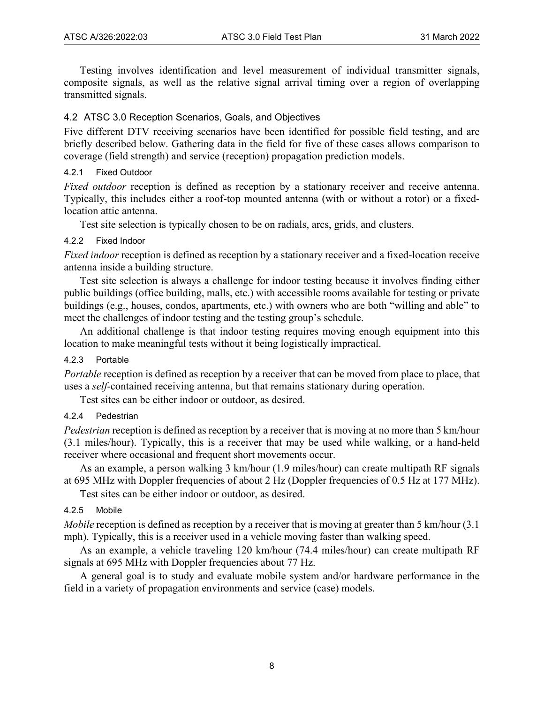Testing involves identification and level measurement of individual transmitter signals, composite signals, as well as the relative signal arrival timing over a region of overlapping transmitted signals.

## <span id="page-12-0"></span>4.2 ATSC 3.0 Reception Scenarios, Goals, and Objectives

Five different DTV receiving scenarios have been identified for possible field testing, and are briefly described below. Gathering data in the field for five of these cases allows comparison to coverage (field strength) and service (reception) propagation prediction models.

## <span id="page-12-1"></span>4.2.1 Fixed Outdoor

*Fixed outdoor* reception is defined as reception by a stationary receiver and receive antenna. Typically, this includes either a roof-top mounted antenna (with or without a rotor) or a fixedlocation attic antenna.

Test site selection is typically chosen to be on radials, arcs, grids, and clusters.

## <span id="page-12-2"></span>4.2.2 Fixed Indoor

*Fixed indoor* reception is defined as reception by a stationary receiver and a fixed-location receive antenna inside a building structure.

Test site selection is always a challenge for indoor testing because it involves finding either public buildings (office building, malls, etc.) with accessible rooms available for testing or private buildings (e.g., houses, condos, apartments, etc.) with owners who are both "willing and able" to meet the challenges of indoor testing and the testing group's schedule.

An additional challenge is that indoor testing requires moving enough equipment into this location to make meaningful tests without it being logistically impractical.

## <span id="page-12-3"></span>4.2.3 Portable

*Portable* reception is defined as reception by a receiver that can be moved from place to place, that uses a *self*-contained receiving antenna, but that remains stationary during operation.

Test sites can be either indoor or outdoor, as desired.

## <span id="page-12-4"></span>4.2.4 Pedestrian

*Pedestrian* reception is defined as reception by a receiver that is moving at no more than 5 km/hour (3.1 miles/hour). Typically, this is a receiver that may be used while walking, or a hand-held receiver where occasional and frequent short movements occur.

As an example, a person walking 3 km/hour (1.9 miles/hour) can create multipath RF signals at 695 MHz with Doppler frequencies of about 2 Hz (Doppler frequencies of 0.5 Hz at 177 MHz).

Test sites can be either indoor or outdoor, as desired.

## <span id="page-12-5"></span>4.2.5 Mobile

*Mobile* reception is defined as reception by a receiver that is moving at greater than 5 km/hour (3.1) mph). Typically, this is a receiver used in a vehicle moving faster than walking speed.

As an example, a vehicle traveling 120 km/hour (74.4 miles/hour) can create multipath RF signals at 695 MHz with Doppler frequencies about 77 Hz.

A general goal is to study and evaluate mobile system and/or hardware performance in the field in a variety of propagation environments and service (case) models.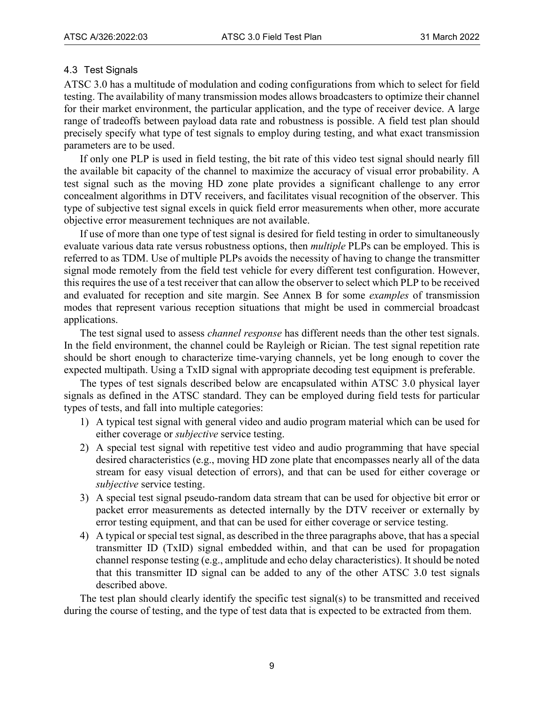## <span id="page-13-0"></span>4.3 Test Signals

ATSC 3.0 has a multitude of modulation and coding configurations from which to select for field testing. The availability of many transmission modes allows broadcasters to optimize their channel for their market environment, the particular application, and the type of receiver device. A large range of tradeoffs between payload data rate and robustness is possible. A field test plan should precisely specify what type of test signals to employ during testing, and what exact transmission parameters are to be used.

If only one PLP is used in field testing, the bit rate of this video test signal should nearly fill the available bit capacity of the channel to maximize the accuracy of visual error probability. A test signal such as the moving HD zone plate provides a significant challenge to any error concealment algorithms in DTV receivers, and facilitates visual recognition of the observer. This type of subjective test signal excels in quick field error measurements when other, more accurate objective error measurement techniques are not available.

If use of more than one type of test signal is desired for field testing in order to simultaneously evaluate various data rate versus robustness options, then *multiple* PLPs can be employed. This is referred to as TDM. Use of multiple PLPs avoids the necessity of having to change the transmitter signal mode remotely from the field test vehicle for every different test configuration. However, this requires the use of a test receiver that can allow the observer to select which PLP to be received and evaluated for reception and site margin. See [Annex B](#page-46-0) for some *examples* of transmission modes that represent various reception situations that might be used in commercial broadcast applications.

The test signal used to assess *channel response* has different needs than the other test signals. In the field environment, the channel could be Rayleigh or Rician. The test signal repetition rate should be short enough to characterize time-varying channels, yet be long enough to cover the expected multipath. Using a TxID signal with appropriate decoding test equipment is preferable.

The types of test signals described below are encapsulated within ATSC 3.0 physical layer signals as defined in the ATSC standard. They can be employed during field tests for particular types of tests, and fall into multiple categories:

- 1) A typical test signal with general video and audio program material which can be used for either coverage or *subjective* service testing.
- 2) A special test signal with repetitive test video and audio programming that have special desired characteristics (e.g., moving HD zone plate that encompasses nearly all of the data stream for easy visual detection of errors), and that can be used for either coverage or *subjective* service testing.
- 3) A special test signal pseudo-random data stream that can be used for objective bit error or packet error measurements as detected internally by the DTV receiver or externally by error testing equipment, and that can be used for either coverage or service testing.
- 4) A typical or special test signal, as described in the three paragraphs above, that has a special transmitter ID (TxID) signal embedded within, and that can be used for propagation channel response testing (e.g., amplitude and echo delay characteristics). It should be noted that this transmitter ID signal can be added to any of the other ATSC 3.0 test signals described above.

The test plan should clearly identify the specific test signal(s) to be transmitted and received during the course of testing, and the type of test data that is expected to be extracted from them.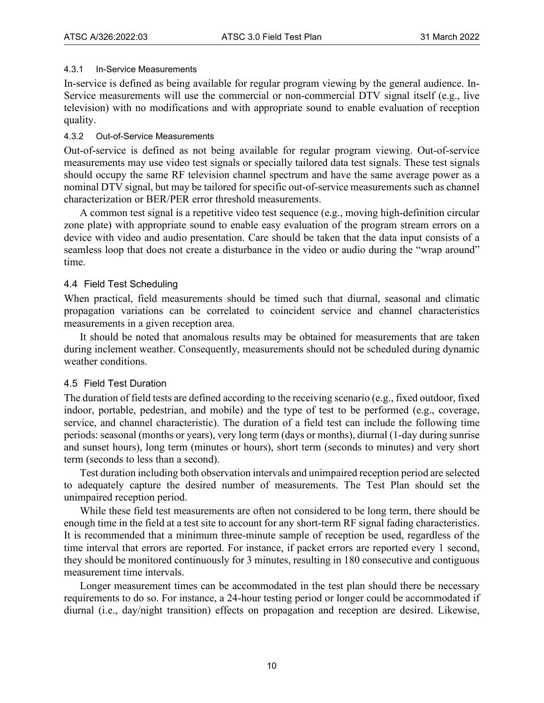#### <span id="page-14-0"></span>4.3.1 In-Service Measurements

In-service is defined as being available for regular program viewing by the general audience. In-Service measurements will use the commercial or non-commercial DTV signal itself (e.g., live television) with no modifications and with appropriate sound to enable evaluation of reception quality.

## <span id="page-14-1"></span>4.3.2 Out-of-Service Measurements

Out-of-service is defined as not being available for regular program viewing. Out-of-service measurements may use video test signals or specially tailored data test signals. These test signals should occupy the same RF television channel spectrum and have the same average power as a nominal DTV signal, but may be tailored for specific out-of-service measurements such as channel characterization or BER/PER error threshold measurements.

A common test signal is a repetitive video test sequence (e.g., moving high-definition circular zone plate) with appropriate sound to enable easy evaluation of the program stream errors on a device with video and audio presentation. Care should be taken that the data input consists of a seamless loop that does not create a disturbance in the video or audio during the "wrap around" time.

## <span id="page-14-2"></span>4.4 Field Test Scheduling

When practical, field measurements should be timed such that diurnal, seasonal and climatic propagation variations can be correlated to coincident service and channel characteristics measurements in a given reception area.

It should be noted that anomalous results may be obtained for measurements that are taken during inclement weather. Consequently, measurements should not be scheduled during dynamic weather conditions.

## <span id="page-14-3"></span>4.5 Field Test Duration

The duration of field tests are defined according to the receiving scenario (e.g., fixed outdoor, fixed indoor, portable, pedestrian, and mobile) and the type of test to be performed (e.g., coverage, service, and channel characteristic). The duration of a field test can include the following time periods: seasonal (months or years), very long term (days or months), diurnal (1-day during sunrise and sunset hours), long term (minutes or hours), short term (seconds to minutes) and very short term (seconds to less than a second).

Test duration including both observation intervals and unimpaired reception period are selected to adequately capture the desired number of measurements. The Test Plan should set the unimpaired reception period.

While these field test measurements are often not considered to be long term, there should be enough time in the field at a test site to account for any short-term RF signal fading characteristics. It is recommended that a minimum three-minute sample of reception be used, regardless of the time interval that errors are reported. For instance, if packet errors are reported every 1 second, they should be monitored continuously for 3 minutes, resulting in 180 consecutive and contiguous measurement time intervals.

Longer measurement times can be accommodated in the test plan should there be necessary requirements to do so. For instance, a 24-hour testing period or longer could be accommodated if diurnal (i.e., day/night transition) effects on propagation and reception are desired. Likewise,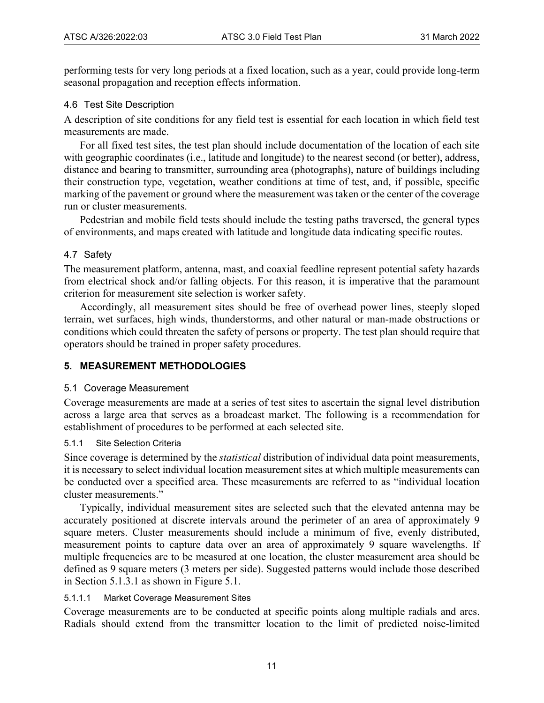performing tests for very long periods at a fixed location, such as a year, could provide long-term seasonal propagation and reception effects information.

## <span id="page-15-0"></span>4.6 Test Site Description

A description of site conditions for any field test is essential for each location in which field test measurements are made.

For all fixed test sites, the test plan should include documentation of the location of each site with geographic coordinates (i.e., latitude and longitude) to the nearest second (or better), address, distance and bearing to transmitter, surrounding area (photographs), nature of buildings including their construction type, vegetation, weather conditions at time of test, and, if possible, specific marking of the pavement or ground where the measurement was taken or the center of the coverage run or cluster measurements.

Pedestrian and mobile field tests should include the testing paths traversed, the general types of environments, and maps created with latitude and longitude data indicating specific routes.

## <span id="page-15-1"></span>4.7 Safety

The measurement platform, antenna, mast, and coaxial feedline represent potential safety hazards from electrical shock and/or falling objects. For this reason, it is imperative that the paramount criterion for measurement site selection is worker safety.

Accordingly, all measurement sites should be free of overhead power lines, steeply sloped terrain, wet surfaces, high winds, thunderstorms, and other natural or man-made obstructions or conditions which could threaten the safety of persons or property. The test plan should require that operators should be trained in proper safety procedures.

## <span id="page-15-2"></span>**5. MEASUREMENT METHODOLOGIES**

## <span id="page-15-3"></span>5.1 Coverage Measurement

Coverage measurements are made at a series of test sites to ascertain the signal level distribution across a large area that serves as a broadcast market. The following is a recommendation for establishment of procedures to be performed at each selected site.

## <span id="page-15-4"></span>5.1.1 Site Selection Criteria

Since coverage is determined by the *statistical* distribution of individual data point measurements, it is necessary to select individual location measurement sites at which multiple measurements can be conducted over a specified area. These measurements are referred to as "individual location cluster measurements."

Typically, individual measurement sites are selected such that the elevated antenna may be accurately positioned at discrete intervals around the perimeter of an area of approximately 9 square meters. Cluster measurements should include a minimum of five, evenly distributed, measurement points to capture data over an area of approximately 9 square wavelengths. If multiple frequencies are to be measured at one location, the cluster measurement area should be defined as 9 square meters (3 meters per side). Suggested patterns would include those described in Section [5.1.3.1](#page-17-1) as shown in [Figure 5.1.](#page-18-1)

## 5.1.1.1 Market Coverage Measurement Sites

Coverage measurements are to be conducted at specific points along multiple radials and arcs. Radials should extend from the transmitter location to the limit of predicted noise-limited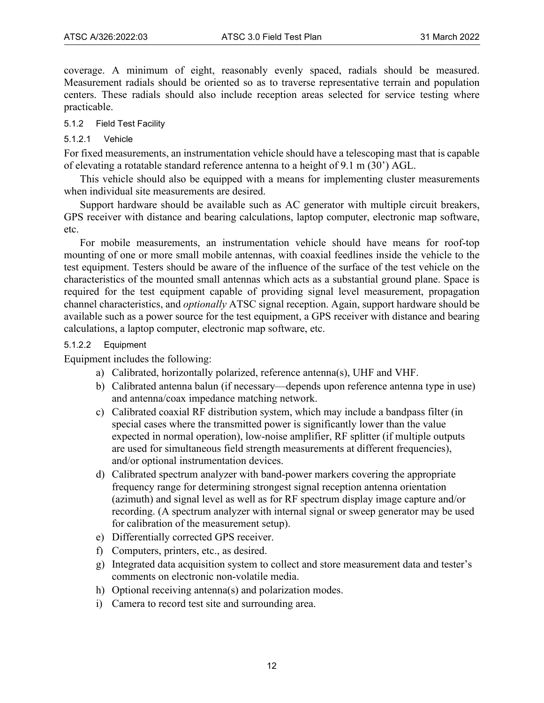coverage. A minimum of eight, reasonably evenly spaced, radials should be measured. Measurement radials should be oriented so as to traverse representative terrain and population centers. These radials should also include reception areas selected for service testing where practicable.

#### <span id="page-16-0"></span>5.1.2 Field Test Facility

## 5.1.2.1 Vehicle

For fixed measurements, an instrumentation vehicle should have a telescoping mast that is capable of elevating a rotatable standard reference antenna to a height of 9.1 m (30') AGL.

This vehicle should also be equipped with a means for implementing cluster measurements when individual site measurements are desired.

Support hardware should be available such as AC generator with multiple circuit breakers, GPS receiver with distance and bearing calculations, laptop computer, electronic map software, etc.

For mobile measurements, an instrumentation vehicle should have means for roof-top mounting of one or more small mobile antennas, with coaxial feedlines inside the vehicle to the test equipment. Testers should be aware of the influence of the surface of the test vehicle on the characteristics of the mounted small antennas which acts as a substantial ground plane. Space is required for the test equipment capable of providing signal level measurement, propagation channel characteristics, and *optionally* ATSC signal reception. Again, support hardware should be available such as a power source for the test equipment, a GPS receiver with distance and bearing calculations, a laptop computer, electronic map software, etc.

## 5.1.2.2 Equipment

Equipment includes the following:

- a) Calibrated, horizontally polarized, reference antenna(s), UHF and VHF.
- b) Calibrated antenna balun (if necessary—depends upon reference antenna type in use) and antenna/coax impedance matching network.
- c) Calibrated coaxial RF distribution system, which may include a bandpass filter (in special cases where the transmitted power is significantly lower than the value expected in normal operation), low-noise amplifier, RF splitter (if multiple outputs are used for simultaneous field strength measurements at different frequencies), and/or optional instrumentation devices.
- d) Calibrated spectrum analyzer with band-power markers covering the appropriate frequency range for determining strongest signal reception antenna orientation (azimuth) and signal level as well as for RF spectrum display image capture and/or recording. (A spectrum analyzer with internal signal or sweep generator may be used for calibration of the measurement setup).
- e) Differentially corrected GPS receiver.
- f) Computers, printers, etc., as desired.
- g) Integrated data acquisition system to collect and store measurement data and tester's comments on electronic non-volatile media.
- h) Optional receiving antenna(s) and polarization modes.
- i) Camera to record test site and surrounding area.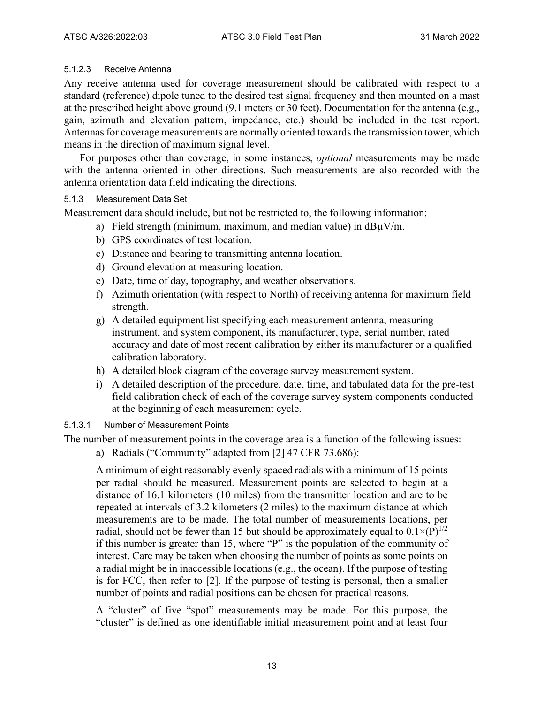## 5.1.2.3 Receive Antenna

Any receive antenna used for coverage measurement should be calibrated with respect to a standard (reference) dipole tuned to the desired test signal frequency and then mounted on a mast at the prescribed height above ground (9.1 meters or 30 feet). Documentation for the antenna (e.g., gain, azimuth and elevation pattern, impedance, etc.) should be included in the test report. Antennas for coverage measurements are normally oriented towards the transmission tower, which means in the direction of maximum signal level.

For purposes other than coverage, in some instances, *optional* measurements may be made with the antenna oriented in other directions. Such measurements are also recorded with the antenna orientation data field indicating the directions.

#### <span id="page-17-0"></span>5.1.3 Measurement Data Set

Measurement data should include, but not be restricted to, the following information:

- a) Field strength (minimum, maximum, and median value) in  $dB\mu V/m$ .
- b) GPS coordinates of test location.
- c) Distance and bearing to transmitting antenna location.
- d) Ground elevation at measuring location.
- e) Date, time of day, topography, and weather observations.
- f) Azimuth orientation (with respect to North) of receiving antenna for maximum field strength.
- g) A detailed equipment list specifying each measurement antenna, measuring instrument, and system component, its manufacturer, type, serial number, rated accuracy and date of most recent calibration by either its manufacturer or a qualified calibration laboratory.
- h) A detailed block diagram of the coverage survey measurement system.
- i) A detailed description of the procedure, date, time, and tabulated data for the pre-test field calibration check of each of the coverage survey system components conducted at the beginning of each measurement cycle.

## <span id="page-17-1"></span>5.1.3.1 Number of Measurement Points

The number of measurement points in the coverage area is a function of the following issues:

a) Radials ("Community" adapted from [\[2\]](#page-7-4) 47 CFR 73.686):

A minimum of eight reasonably evenly spaced radials with a minimum of 15 points per radial should be measured. Measurement points are selected to begin at a distance of 16.1 kilometers (10 miles) from the transmitter location and are to be repeated at intervals of 3.2 kilometers (2 miles) to the maximum distance at which measurements are to be made. The total number of measurements locations, per radial, should not be fewer than 15 but should be approximately equal to  $0.1\times(P)^{1/2}$ if this number is greater than 15, where "P" is the population of the community of interest. Care may be taken when choosing the number of points as some points on a radial might be in inaccessible locations (e.g., the ocean). If the purpose of testing is for FCC, then refer to [\[2\].](#page-7-4) If the purpose of testing is personal, then a smaller number of points and radial positions can be chosen for practical reasons.

A "cluster" of five "spot" measurements may be made. For this purpose, the "cluster" is defined as one identifiable initial measurement point and at least four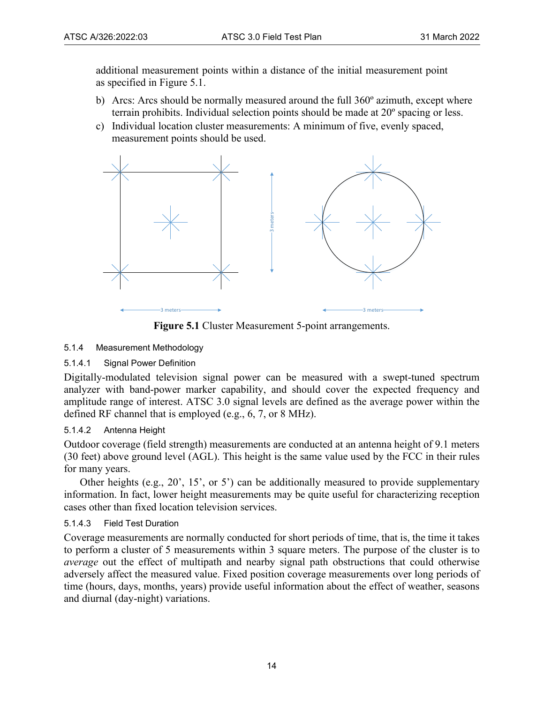additional measurement points within a distance of the initial measurement point as specified in [Figure 5.1.](#page-18-1)

- b) Arcs: Arcs should be normally measured around the full 360º azimuth, except where terrain prohibits. Individual selection points should be made at 20º spacing or less.
- c) Individual location cluster measurements: A minimum of five, evenly spaced, measurement points should be used.



**Figure 5.1** Cluster Measurement 5-point arrangements.

## <span id="page-18-1"></span><span id="page-18-0"></span>5.1.4 Measurement Methodology

## 5.1.4.1 Signal Power Definition

Digitally-modulated television signal power can be measured with a swept-tuned spectrum analyzer with band-power marker capability, and should cover the expected frequency and amplitude range of interest. ATSC 3.0 signal levels are defined as the average power within the defined RF channel that is employed (e.g., 6, 7, or 8 MHz).

## 5.1.4.2 Antenna Height

Outdoor coverage (field strength) measurements are conducted at an antenna height of 9.1 meters (30 feet) above ground level (AGL). This height is the same value used by the FCC in their rules for many years.

Other heights (e.g., 20', 15', or 5') can be additionally measured to provide supplementary information. In fact, lower height measurements may be quite useful for characterizing reception cases other than fixed location television services.

## 5.1.4.3 Field Test Duration

Coverage measurements are normally conducted for short periods of time, that is, the time it takes to perform a cluster of 5 measurements within 3 square meters. The purpose of the cluster is to *average* out the effect of multipath and nearby signal path obstructions that could otherwise adversely affect the measured value. Fixed position coverage measurements over long periods of time (hours, days, months, years) provide useful information about the effect of weather, seasons and diurnal (day-night) variations.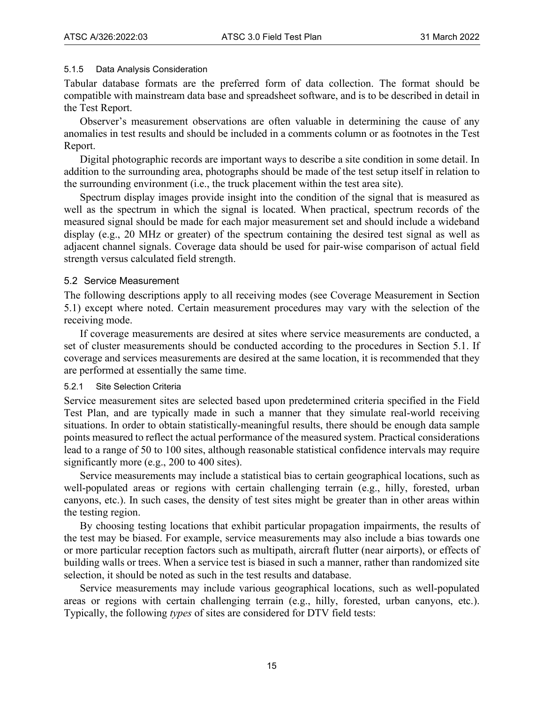## <span id="page-19-0"></span>5.1.5 Data Analysis Consideration

Tabular database formats are the preferred form of data collection. The format should be compatible with mainstream data base and spreadsheet software, and is to be described in detail in the Test Report.

Observer's measurement observations are often valuable in determining the cause of any anomalies in test results and should be included in a comments column or as footnotes in the Test Report.

Digital photographic records are important ways to describe a site condition in some detail. In addition to the surrounding area, photographs should be made of the test setup itself in relation to the surrounding environment (i.e., the truck placement within the test area site).

Spectrum display images provide insight into the condition of the signal that is measured as well as the spectrum in which the signal is located. When practical, spectrum records of the measured signal should be made for each major measurement set and should include a wideband display (e.g., 20 MHz or greater) of the spectrum containing the desired test signal as well as adjacent channel signals. Coverage data should be used for pair-wise comparison of actual field strength versus calculated field strength.

## <span id="page-19-1"></span>5.2 Service Measurement

The following descriptions apply to all receiving modes (see Coverage Measurement in Section 5.1) except where noted. Certain measurement procedures may vary with the selection of the receiving mode.

If coverage measurements are desired at sites where service measurements are conducted, a set of cluster measurements should be conducted according to the procedures in Section [5.1.](#page-15-3) If coverage and services measurements are desired at the same location, it is recommended that they are performed at essentially the same time.

#### <span id="page-19-2"></span>5.2.1 Site Selection Criteria

Service measurement sites are selected based upon predetermined criteria specified in the Field Test Plan, and are typically made in such a manner that they simulate real-world receiving situations. In order to obtain statistically-meaningful results, there should be enough data sample points measured to reflect the actual performance of the measured system. Practical considerations lead to a range of 50 to 100 sites, although reasonable statistical confidence intervals may require significantly more (e.g., 200 to 400 sites).

Service measurements may include a statistical bias to certain geographical locations, such as well-populated areas or regions with certain challenging terrain (e.g., hilly, forested, urban canyons, etc.). In such cases, the density of test sites might be greater than in other areas within the testing region.

By choosing testing locations that exhibit particular propagation impairments, the results of the test may be biased. For example, service measurements may also include a bias towards one or more particular reception factors such as multipath, aircraft flutter (near airports), or effects of building walls or trees. When a service test is biased in such a manner, rather than randomized site selection, it should be noted as such in the test results and database.

Service measurements may include various geographical locations, such as well-populated areas or regions with certain challenging terrain (e.g., hilly, forested, urban canyons, etc.). Typically, the following *types* of sites are considered for DTV field tests: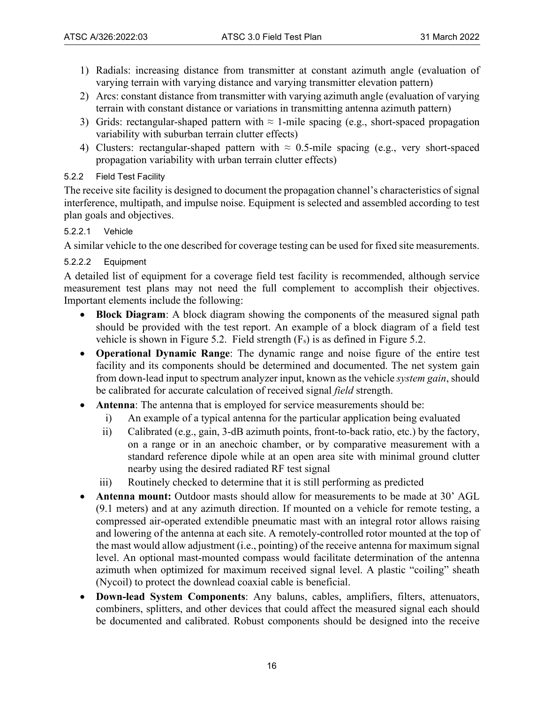- 1) Radials: increasing distance from transmitter at constant azimuth angle (evaluation of varying terrain with varying distance and varying transmitter elevation pattern)
- 2) Arcs: constant distance from transmitter with varying azimuth angle (evaluation of varying terrain with constant distance or variations in transmitting antenna azimuth pattern)
- 3) Grids: rectangular-shaped pattern with  $\approx$  1-mile spacing (e.g., short-spaced propagation variability with suburban terrain clutter effects)
- 4) Clusters: rectangular-shaped pattern with  $\approx 0.5$ -mile spacing (e.g., very short-spaced propagation variability with urban terrain clutter effects)

## <span id="page-20-0"></span>5.2.2 Field Test Facility

The receive site facility is designed to document the propagation channel's characteristics of signal interference, multipath, and impulse noise. Equipment is selected and assembled according to test plan goals and objectives.

## 5.2.2.1 Vehicle

A similar vehicle to the one described for coverage testing can be used for fixed site measurements.

## 5.2.2.2 Equipment

A detailed list of equipment for a coverage field test facility is recommended, although service measurement test plans may not need the full complement to accomplish their objectives. Important elements include the following:

- **Block Diagram**: A block diagram showing the components of the measured signal path should be provided with the test report. An example of a block diagram of a field test vehicle is shown in [Figure 5.2.](#page-22-0) Field strength  $(F_s)$  is as defined in Figure 5.2.
- **Operational Dynamic Range**: The dynamic range and noise figure of the entire test facility and its components should be determined and documented. The net system gain from down-lead input to spectrum analyzer input, known as the vehicle *system gain*, should be calibrated for accurate calculation of received signal *field* strength.
- **Antenna**: The antenna that is employed for service measurements should be:
	- i) An example of a typical antenna for the particular application being evaluated
	- ii) Calibrated (e.g., gain, 3-dB azimuth points, front-to-back ratio, etc.) by the factory, on a range or in an anechoic chamber, or by comparative measurement with a standard reference dipole while at an open area site with minimal ground clutter nearby using the desired radiated RF test signal
	- iii) Routinely checked to determine that it is still performing as predicted
- **Antenna mount:** Outdoor masts should allow for measurements to be made at 30' AGL (9.1 meters) and at any azimuth direction. If mounted on a vehicle for remote testing, a compressed air-operated extendible pneumatic mast with an integral rotor allows raising and lowering of the antenna at each site. A remotely-controlled rotor mounted at the top of the mast would allow adjustment (i.e., pointing) of the receive antenna for maximum signal level. An optional mast-mounted compass would facilitate determination of the antenna azimuth when optimized for maximum received signal level. A plastic "coiling" sheath (Nycoil) to protect the downlead coaxial cable is beneficial.
- **Down-lead System Components**: Any baluns, cables, amplifiers, filters, attenuators, combiners, splitters, and other devices that could affect the measured signal each should be documented and calibrated. Robust components should be designed into the receive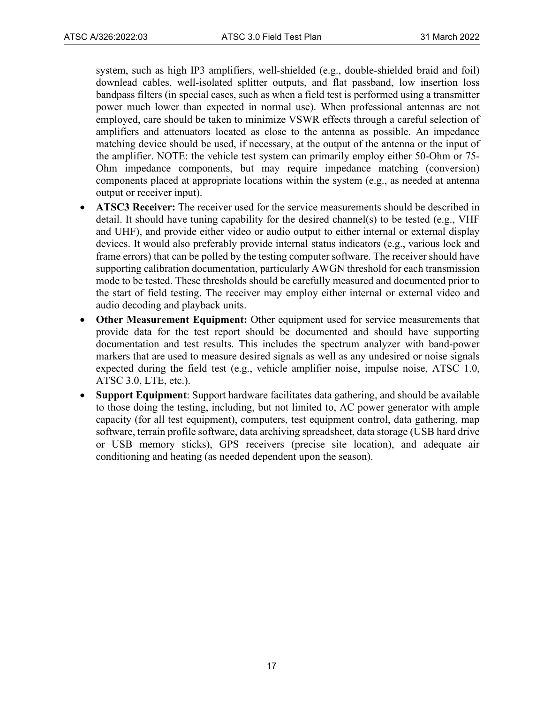system, such as high IP3 amplifiers, well-shielded (e.g., double-shielded braid and foil) downlead cables, well-isolated splitter outputs, and flat passband, low insertion loss bandpass filters (in special cases, such as when a field test is performed using a transmitter power much lower than expected in normal use). When professional antennas are not employed, care should be taken to minimize VSWR effects through a careful selection of amplifiers and attenuators located as close to the antenna as possible. An impedance matching device should be used, if necessary, at the output of the antenna or the input of the amplifier. NOTE: the vehicle test system can primarily employ either 50-Ohm or 75- Ohm impedance components, but may require impedance matching (conversion) components placed at appropriate locations within the system (e.g., as needed at antenna output or receiver input).

- **ATSC3 Receiver:** The receiver used for the service measurements should be described in detail. It should have tuning capability for the desired channel(s) to be tested (e.g., VHF and UHF), and provide either video or audio output to either internal or external display devices. It would also preferably provide internal status indicators (e.g., various lock and frame errors) that can be polled by the testing computer software. The receiver should have supporting calibration documentation, particularly AWGN threshold for each transmission mode to be tested. These thresholds should be carefully measured and documented prior to the start of field testing. The receiver may employ either internal or external video and audio decoding and playback units.
- **Other Measurement Equipment:** Other equipment used for service measurements that provide data for the test report should be documented and should have supporting documentation and test results. This includes the spectrum analyzer with band-power markers that are used to measure desired signals as well as any undesired or noise signals expected during the field test (e.g., vehicle amplifier noise, impulse noise, ATSC 1.0, ATSC 3.0, LTE, etc.).
- **Support Equipment**: Support hardware facilitates data gathering, and should be available to those doing the testing, including, but not limited to, AC power generator with ample capacity (for all test equipment), computers, test equipment control, data gathering, map software, terrain profile software, data archiving spreadsheet, data storage (USB hard drive or USB memory sticks), GPS receivers (precise site location), and adequate air conditioning and heating (as needed dependent upon the season).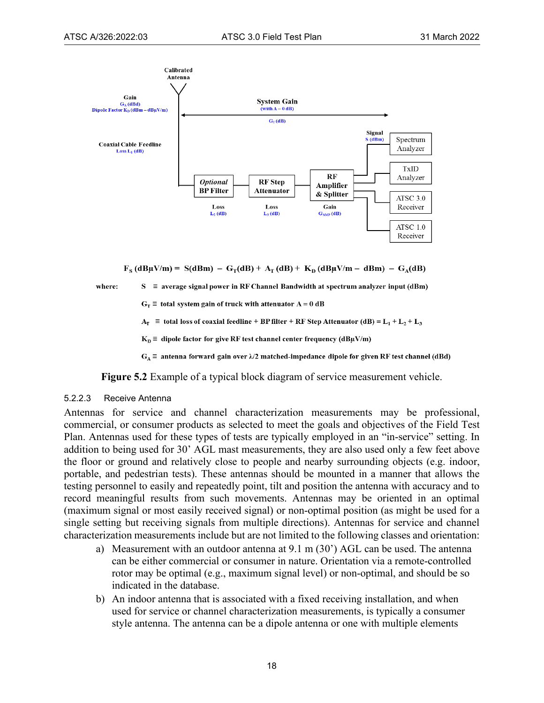

 $F_s$  (dB $\mu$ V/m) = S(dBm) – G<sub>T</sub>(dB) + A<sub>T</sub>(dB) + K<sub>D</sub>(dB $\mu$ V/m – dBm) – G<sub>A</sub>(dB)

where:

 $S \equiv$  average signal power in RF Channel Bandwidth at spectrum analyzer input (dBm)

 $G_T \equiv$  total system gain of truck with attenuator  $A = 0$  dB

 $A_T$  = total loss of coaxial feedline + BP filter + RF Step Attenuator (dB) = L<sub>1</sub> + L<sub>2</sub> + L<sub>3</sub>

 $K_p \equiv$  dipole factor for give RF test channel center frequency (dB $\mu$ V/m)

 $G_A \equiv$  antenna forward gain over  $\lambda/2$  matched-impedance dipole for given RF test channel (dBd)

**Figure 5.2** Example of a typical block diagram of service measurement vehicle.

#### <span id="page-22-0"></span>5.2.2.3 Receive Antenna

Antennas for service and channel characterization measurements may be professional, commercial, or consumer products as selected to meet the goals and objectives of the Field Test Plan. Antennas used for these types of tests are typically employed in an "in-service" setting. In addition to being used for 30' AGL mast measurements, they are also used only a few feet above the floor or ground and relatively close to people and nearby surrounding objects (e.g. indoor, portable, and pedestrian tests). These antennas should be mounted in a manner that allows the testing personnel to easily and repeatedly point, tilt and position the antenna with accuracy and to record meaningful results from such movements. Antennas may be oriented in an optimal (maximum signal or most easily received signal) or non-optimal position (as might be used for a single setting but receiving signals from multiple directions). Antennas for service and channel characterization measurements include but are not limited to the following classes and orientation:

- a) Measurement with an outdoor antenna at 9.1 m (30') AGL can be used. The antenna can be either commercial or consumer in nature. Orientation via a remote-controlled rotor may be optimal (e.g., maximum signal level) or non-optimal, and should be so indicated in the database.
- b) An indoor antenna that is associated with a fixed receiving installation, and when used for service or channel characterization measurements, is typically a consumer style antenna. The antenna can be a dipole antenna or one with multiple elements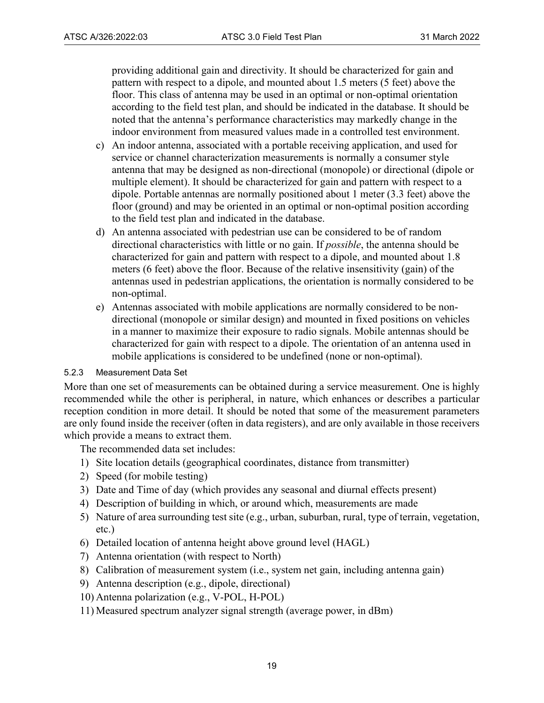providing additional gain and directivity. It should be characterized for gain and pattern with respect to a dipole, and mounted about 1.5 meters (5 feet) above the floor. This class of antenna may be used in an optimal or non-optimal orientation according to the field test plan, and should be indicated in the database. It should be noted that the antenna's performance characteristics may markedly change in the indoor environment from measured values made in a controlled test environment.

- c) An indoor antenna, associated with a portable receiving application, and used for service or channel characterization measurements is normally a consumer style antenna that may be designed as non-directional (monopole) or directional (dipole or multiple element). It should be characterized for gain and pattern with respect to a dipole. Portable antennas are normally positioned about 1 meter (3.3 feet) above the floor (ground) and may be oriented in an optimal or non-optimal position according to the field test plan and indicated in the database.
- d) An antenna associated with pedestrian use can be considered to be of random directional characteristics with little or no gain. If *possible*, the antenna should be characterized for gain and pattern with respect to a dipole, and mounted about 1.8 meters (6 feet) above the floor. Because of the relative insensitivity (gain) of the antennas used in pedestrian applications, the orientation is normally considered to be non-optimal.
- e) Antennas associated with mobile applications are normally considered to be nondirectional (monopole or similar design) and mounted in fixed positions on vehicles in a manner to maximize their exposure to radio signals. Mobile antennas should be characterized for gain with respect to a dipole. The orientation of an antenna used in mobile applications is considered to be undefined (none or non-optimal).

#### <span id="page-23-0"></span>5.2.3 Measurement Data Set

More than one set of measurements can be obtained during a service measurement. One is highly recommended while the other is peripheral, in nature, which enhances or describes a particular reception condition in more detail. It should be noted that some of the measurement parameters are only found inside the receiver (often in data registers), and are only available in those receivers which provide a means to extract them.

The recommended data set includes:

- 1) Site location details (geographical coordinates, distance from transmitter)
- 2) Speed (for mobile testing)
- 3) Date and Time of day (which provides any seasonal and diurnal effects present)
- 4) Description of building in which, or around which, measurements are made
- 5) Nature of area surrounding test site (e.g., urban, suburban, rural, type of terrain, vegetation, etc.)
- 6) Detailed location of antenna height above ground level (HAGL)
- 7) Antenna orientation (with respect to North)
- 8) Calibration of measurement system (i.e., system net gain, including antenna gain)
- 9) Antenna description (e.g., dipole, directional)
- 10) Antenna polarization (e.g., V-POL, H-POL)
- 11) Measured spectrum analyzer signal strength (average power, in dBm)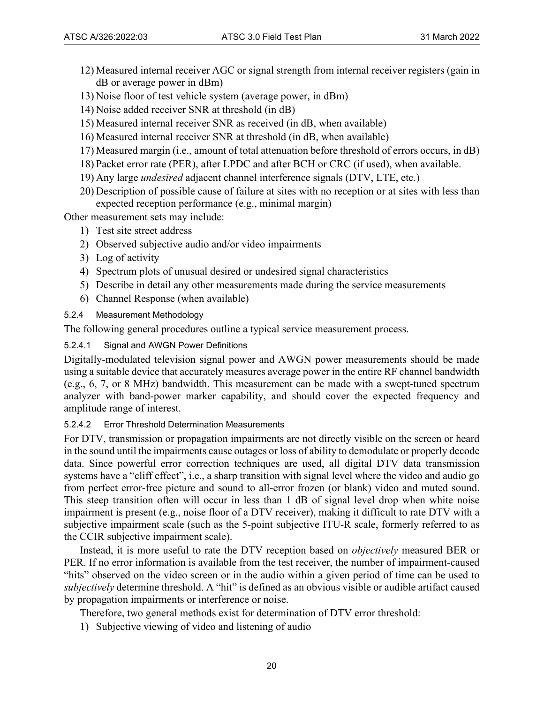- 12) Measured internal receiver AGC or signal strength from internal receiver registers (gain in dB or average power in dBm)
- 13) Noise floor of test vehicle system (average power, in dBm)
- 14) Noise added receiver SNR at threshold (in dB)
- 15) Measured internal receiver SNR as received (in dB, when available)
- 16) Measured internal receiver SNR at threshold (in dB, when available)
- 17) Measured margin (i.e., amount of total attenuation before threshold of errors occurs, in dB)
- 18) Packet error rate (PER), after LPDC and after BCH or CRC (if used), when available.
- 19) Any large *undesired* adjacent channel interference signals (DTV, LTE, etc.)
- 20) Description of possible cause of failure at sites with no reception or at sites with less than expected reception performance (e.g., minimal margin)

Other measurement sets may include:

- 1) Test site street address
- 2) Observed subjective audio and/or video impairments
- 3) Log of activity
- 4) Spectrum plots of unusual desired or undesired signal characteristics
- 5) Describe in detail any other measurements made during the service measurements
- 6) Channel Response (when available)

## <span id="page-24-0"></span>5.2.4 Measurement Methodology

The following general procedures outline a typical service measurement process.

## 5.2.4.1 Signal and AWGN Power Definitions

Digitally-modulated television signal power and AWGN power measurements should be made using a suitable device that accurately measures average power in the entire RF channel bandwidth (e.g., 6, 7, or 8 MHz) bandwidth. This measurement can be made with a swept-tuned spectrum analyzer with band-power marker capability, and should cover the expected frequency and amplitude range of interest.

## 5.2.4.2 Error Threshold Determination Measurements

For DTV, transmission or propagation impairments are not directly visible on the screen or heard in the sound until the impairments cause outages or loss of ability to demodulate or properly decode data. Since powerful error correction techniques are used, all digital DTV data transmission systems have a "cliff effect", i.e., a sharp transition with signal level where the video and audio go from perfect error-free picture and sound to all-error frozen (or blank) video and muted sound. This steep transition often will occur in less than 1 dB of signal level drop when white noise impairment is present (e.g., noise floor of a DTV receiver), making it difficult to rate DTV with a subjective impairment scale (such as the 5-point subjective ITU-R scale, formerly referred to as the CCIR subjective impairment scale).

Instead, it is more useful to rate the DTV reception based on *objectively* measured BER or PER. If no error information is available from the test receiver, the number of impairment-caused "hits" observed on the video screen or in the audio within a given period of time can be used to *subjectively* determine threshold. A "hit" is defined as an obvious visible or audible artifact caused by propagation impairments or interference or noise.

Therefore, two general methods exist for determination of DTV error threshold:

1) Subjective viewing of video and listening of audio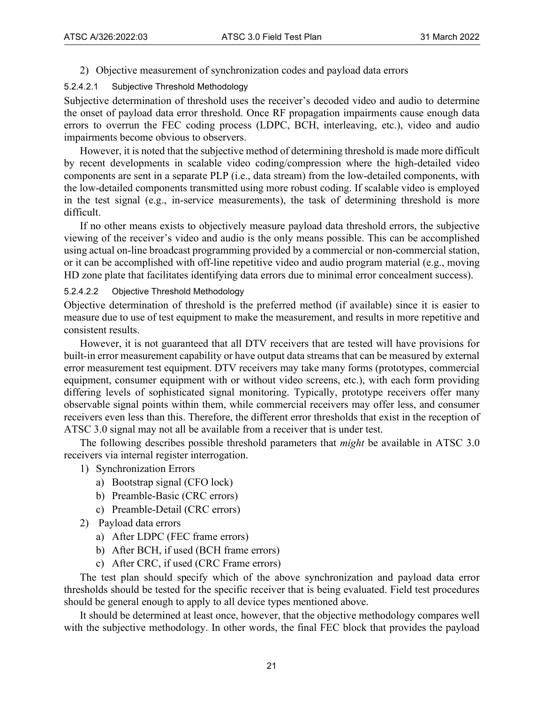#### 2) Objective measurement of synchronization codes and payload data errors

#### 5.2.4.2.1 Subjective Threshold Methodology

Subjective determination of threshold uses the receiver's decoded video and audio to determine the onset of payload data error threshold. Once RF propagation impairments cause enough data errors to overrun the FEC coding process (LDPC, BCH, interleaving, etc.), video and audio impairments become obvious to observers.

However, it is noted that the subjective method of determining threshold is made more difficult by recent developments in scalable video coding/compression where the high-detailed video components are sent in a separate PLP (i.e., data stream) from the low-detailed components, with the low-detailed components transmitted using more robust coding. If scalable video is employed in the test signal (e.g., in-service measurements), the task of determining threshold is more difficult.

If no other means exists to objectively measure payload data threshold errors, the subjective viewing of the receiver's video and audio is the only means possible. This can be accomplished using actual on-line broadcast programming provided by a commercial or non-commercial station, or it can be accomplished with off-line repetitive video and audio program material (e.g., moving HD zone plate that facilitates identifying data errors due to minimal error concealment success).

#### 5.2.4.2.2 Objective Threshold Methodology

Objective determination of threshold is the preferred method (if available) since it is easier to measure due to use of test equipment to make the measurement, and results in more repetitive and consistent results.

However, it is not guaranteed that all DTV receivers that are tested will have provisions for built-in error measurement capability or have output data streams that can be measured by external error measurement test equipment. DTV receivers may take many forms (prototypes, commercial equipment, consumer equipment with or without video screens, etc.), with each form providing differing levels of sophisticated signal monitoring. Typically, prototype receivers offer many observable signal points within them, while commercial receivers may offer less, and consumer receivers even less than this. Therefore, the different error thresholds that exist in the reception of ATSC 3.0 signal may not all be available from a receiver that is under test.

The following describes possible threshold parameters that *might* be available in ATSC 3.0 receivers via internal register interrogation.

- 1) Synchronization Errors
	- a) Bootstrap signal (CFO lock)
	- b) Preamble-Basic (CRC errors)
	- c) Preamble-Detail (CRC errors)
- 2) Payload data errors
	- a) After LDPC (FEC frame errors)
	- b) After BCH, if used (BCH frame errors)
	- c) After CRC, if used (CRC Frame errors)

The test plan should specify which of the above synchronization and payload data error thresholds should be tested for the specific receiver that is being evaluated. Field test procedures should be general enough to apply to all device types mentioned above.

It should be determined at least once, however, that the objective methodology compares well with the subjective methodology. In other words, the final FEC block that provides the payload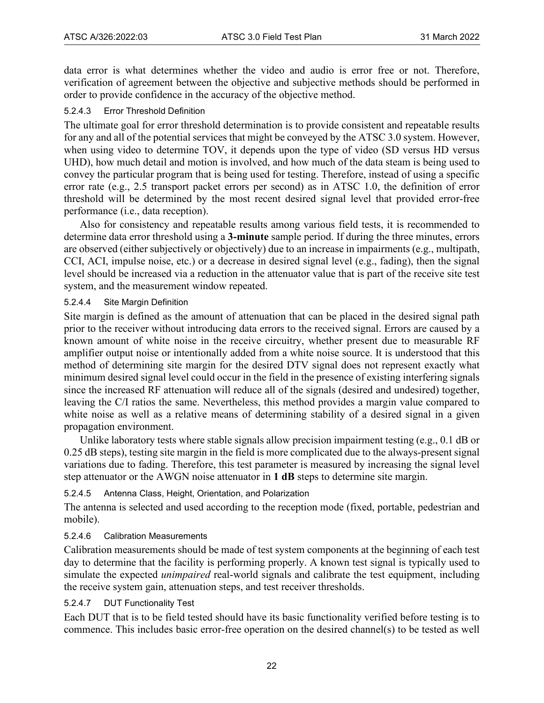data error is what determines whether the video and audio is error free or not. Therefore, verification of agreement between the objective and subjective methods should be performed in order to provide confidence in the accuracy of the objective method.

## 5.2.4.3 Error Threshold Definition

The ultimate goal for error threshold determination is to provide consistent and repeatable results for any and all of the potential services that might be conveyed by the ATSC 3.0 system. However, when using video to determine TOV, it depends upon the type of video (SD versus HD versus UHD), how much detail and motion is involved, and how much of the data steam is being used to convey the particular program that is being used for testing. Therefore, instead of using a specific error rate (e.g., 2.5 transport packet errors per second) as in ATSC 1.0, the definition of error threshold will be determined by the most recent desired signal level that provided error-free performance (i.e., data reception).

Also for consistency and repeatable results among various field tests, it is recommended to determine data error threshold using a **3-minute** sample period. If during the three minutes, errors are observed (either subjectively or objectively) due to an increase in impairments (e.g., multipath, CCI, ACI, impulse noise, etc.) or a decrease in desired signal level (e.g., fading), then the signal level should be increased via a reduction in the attenuator value that is part of the receive site test system, and the measurement window repeated.

## 5.2.4.4 Site Margin Definition

Site margin is defined as the amount of attenuation that can be placed in the desired signal path prior to the receiver without introducing data errors to the received signal. Errors are caused by a known amount of white noise in the receive circuitry, whether present due to measurable RF amplifier output noise or intentionally added from a white noise source. It is understood that this method of determining site margin for the desired DTV signal does not represent exactly what minimum desired signal level could occur in the field in the presence of existing interfering signals since the increased RF attenuation will reduce all of the signals (desired and undesired) together, leaving the C/I ratios the same. Nevertheless, this method provides a margin value compared to white noise as well as a relative means of determining stability of a desired signal in a given propagation environment.

Unlike laboratory tests where stable signals allow precision impairment testing (e.g.,  $0.1$  dB or 0.25 dB steps), testing site margin in the field is more complicated due to the always-present signal variations due to fading. Therefore, this test parameter is measured by increasing the signal level step attenuator or the AWGN noise attenuator in **1 dB** steps to determine site margin.

## 5.2.4.5 Antenna Class, Height, Orientation, and Polarization

The antenna is selected and used according to the reception mode (fixed, portable, pedestrian and mobile).

## 5.2.4.6 Calibration Measurements

Calibration measurements should be made of test system components at the beginning of each test day to determine that the facility is performing properly. A known test signal is typically used to simulate the expected *unimpaired* real-world signals and calibrate the test equipment, including the receive system gain, attenuation steps, and test receiver thresholds.

## 5.2.4.7 DUT Functionality Test

Each DUT that is to be field tested should have its basic functionality verified before testing is to commence. This includes basic error-free operation on the desired channel(s) to be tested as well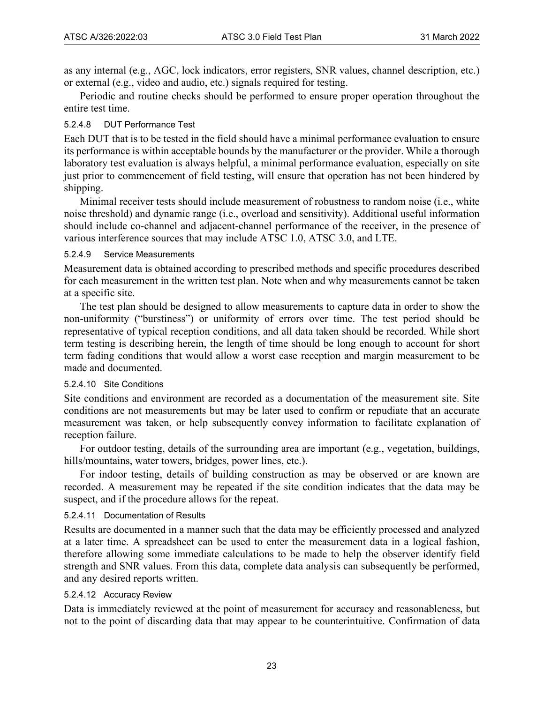as any internal (e.g., AGC, lock indicators, error registers, SNR values, channel description, etc.) or external (e.g., video and audio, etc.) signals required for testing.

Periodic and routine checks should be performed to ensure proper operation throughout the entire test time.

## 5.2.4.8 DUT Performance Test

Each DUT that is to be tested in the field should have a minimal performance evaluation to ensure its performance is within acceptable bounds by the manufacturer or the provider. While a thorough laboratory test evaluation is always helpful, a minimal performance evaluation, especially on site just prior to commencement of field testing, will ensure that operation has not been hindered by shipping.

Minimal receiver tests should include measurement of robustness to random noise (i.e., white noise threshold) and dynamic range (i.e., overload and sensitivity). Additional useful information should include co-channel and adjacent-channel performance of the receiver, in the presence of various interference sources that may include ATSC 1.0, ATSC 3.0, and LTE.

## 5.2.4.9 Service Measurements

Measurement data is obtained according to prescribed methods and specific procedures described for each measurement in the written test plan. Note when and why measurements cannot be taken at a specific site.

The test plan should be designed to allow measurements to capture data in order to show the non-uniformity ("burstiness") or uniformity of errors over time. The test period should be representative of typical reception conditions, and all data taken should be recorded. While short term testing is describing herein, the length of time should be long enough to account for short term fading conditions that would allow a worst case reception and margin measurement to be made and documented.

## 5.2.4.10 Site Conditions

Site conditions and environment are recorded as a documentation of the measurement site. Site conditions are not measurements but may be later used to confirm or repudiate that an accurate measurement was taken, or help subsequently convey information to facilitate explanation of reception failure.

For outdoor testing, details of the surrounding area are important (e.g., vegetation, buildings, hills/mountains, water towers, bridges, power lines, etc.).

For indoor testing, details of building construction as may be observed or are known are recorded. A measurement may be repeated if the site condition indicates that the data may be suspect, and if the procedure allows for the repeat.

## 5.2.4.11 Documentation of Results

Results are documented in a manner such that the data may be efficiently processed and analyzed at a later time. A spreadsheet can be used to enter the measurement data in a logical fashion, therefore allowing some immediate calculations to be made to help the observer identify field strength and SNR values. From this data, complete data analysis can subsequently be performed, and any desired reports written.

#### 5.2.4.12 Accuracy Review

Data is immediately reviewed at the point of measurement for accuracy and reasonableness, but not to the point of discarding data that may appear to be counterintuitive. Confirmation of data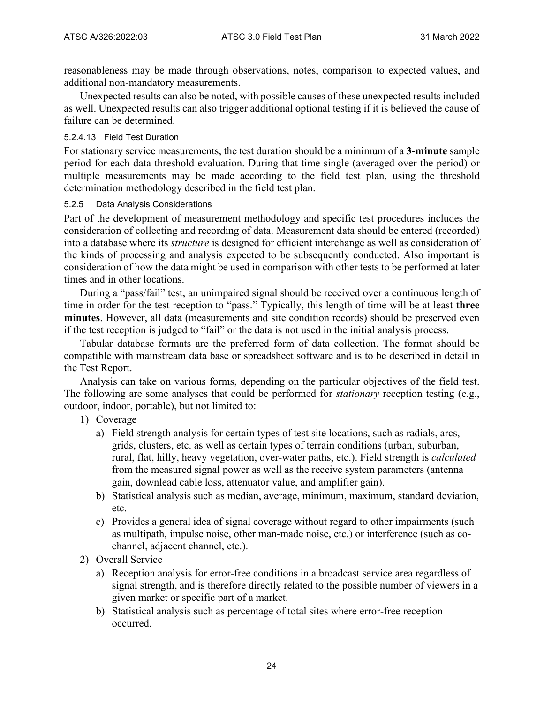reasonableness may be made through observations, notes, comparison to expected values, and additional non-mandatory measurements.

Unexpected results can also be noted, with possible causes of these unexpected results included as well. Unexpected results can also trigger additional optional testing if it is believed the cause of failure can be determined.

## 5.2.4.13 Field Test Duration

For stationary service measurements, the test duration should be a minimum of a **3-minute** sample period for each data threshold evaluation. During that time single (averaged over the period) or multiple measurements may be made according to the field test plan, using the threshold determination methodology described in the field test plan.

## <span id="page-28-0"></span>5.2.5 Data Analysis Considerations

Part of the development of measurement methodology and specific test procedures includes the consideration of collecting and recording of data. Measurement data should be entered (recorded) into a database where its *structure* is designed for efficient interchange as well as consideration of the kinds of processing and analysis expected to be subsequently conducted. Also important is consideration of how the data might be used in comparison with other tests to be performed at later times and in other locations.

During a "pass/fail" test, an unimpaired signal should be received over a continuous length of time in order for the test reception to "pass." Typically, this length of time will be at least **three minutes**. However, all data (measurements and site condition records) should be preserved even if the test reception is judged to "fail" or the data is not used in the initial analysis process.

Tabular database formats are the preferred form of data collection. The format should be compatible with mainstream data base or spreadsheet software and is to be described in detail in the Test Report.

Analysis can take on various forms, depending on the particular objectives of the field test. The following are some analyses that could be performed for *stationary* reception testing (e.g., outdoor, indoor, portable), but not limited to:

## 1) Coverage

- a) Field strength analysis for certain types of test site locations, such as radials, arcs, grids, clusters, etc. as well as certain types of terrain conditions (urban, suburban, rural, flat, hilly, heavy vegetation, over-water paths, etc.). Field strength is *calculated* from the measured signal power as well as the receive system parameters (antenna gain, downlead cable loss, attenuator value, and amplifier gain).
- b) Statistical analysis such as median, average, minimum, maximum, standard deviation, etc.
- c) Provides a general idea of signal coverage without regard to other impairments (such as multipath, impulse noise, other man-made noise, etc.) or interference (such as cochannel, adjacent channel, etc.).
- 2) Overall Service
	- a) Reception analysis for error-free conditions in a broadcast service area regardless of signal strength, and is therefore directly related to the possible number of viewers in a given market or specific part of a market.
	- b) Statistical analysis such as percentage of total sites where error-free reception occurred.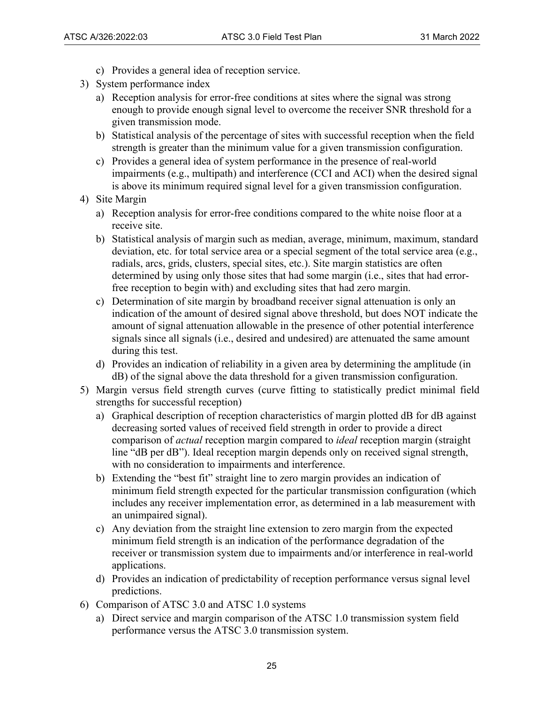- c) Provides a general idea of reception service.
- 3) System performance index
	- a) Reception analysis for error-free conditions at sites where the signal was strong enough to provide enough signal level to overcome the receiver SNR threshold for a given transmission mode.
	- b) Statistical analysis of the percentage of sites with successful reception when the field strength is greater than the minimum value for a given transmission configuration.
	- c) Provides a general idea of system performance in the presence of real-world impairments (e.g., multipath) and interference (CCI and ACI) when the desired signal is above its minimum required signal level for a given transmission configuration.
- 4) Site Margin
	- a) Reception analysis for error-free conditions compared to the white noise floor at a receive site.
	- b) Statistical analysis of margin such as median, average, minimum, maximum, standard deviation, etc. for total service area or a special segment of the total service area (e.g., radials, arcs, grids, clusters, special sites, etc.). Site margin statistics are often determined by using only those sites that had some margin (i.e., sites that had errorfree reception to begin with) and excluding sites that had zero margin.
	- c) Determination of site margin by broadband receiver signal attenuation is only an indication of the amount of desired signal above threshold, but does NOT indicate the amount of signal attenuation allowable in the presence of other potential interference signals since all signals (i.e., desired and undesired) are attenuated the same amount during this test.
	- d) Provides an indication of reliability in a given area by determining the amplitude (in dB) of the signal above the data threshold for a given transmission configuration.
- 5) Margin versus field strength curves (curve fitting to statistically predict minimal field strengths for successful reception)
	- a) Graphical description of reception characteristics of margin plotted dB for dB against decreasing sorted values of received field strength in order to provide a direct comparison of *actual* reception margin compared to *ideal* reception margin (straight line "dB per dB"). Ideal reception margin depends only on received signal strength, with no consideration to impairments and interference.
	- b) Extending the "best fit" straight line to zero margin provides an indication of minimum field strength expected for the particular transmission configuration (which includes any receiver implementation error, as determined in a lab measurement with an unimpaired signal).
	- c) Any deviation from the straight line extension to zero margin from the expected minimum field strength is an indication of the performance degradation of the receiver or transmission system due to impairments and/or interference in real-world applications.
	- d) Provides an indication of predictability of reception performance versus signal level predictions.
- 6) Comparison of ATSC 3.0 and ATSC 1.0 systems
	- a) Direct service and margin comparison of the ATSC 1.0 transmission system field performance versus the ATSC 3.0 transmission system.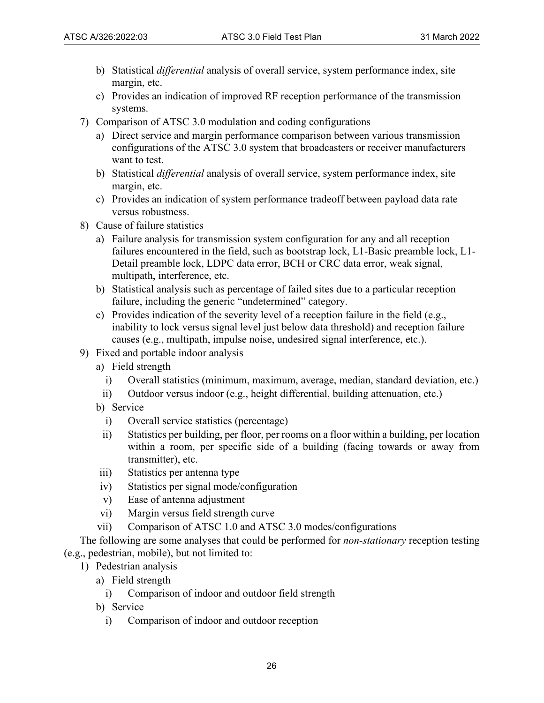- b) Statistical *differential* analysis of overall service, system performance index, site margin, etc.
- c) Provides an indication of improved RF reception performance of the transmission systems.
- 7) Comparison of ATSC 3.0 modulation and coding configurations
	- a) Direct service and margin performance comparison between various transmission configurations of the ATSC 3.0 system that broadcasters or receiver manufacturers want to test.
	- b) Statistical *differential* analysis of overall service, system performance index, site margin, etc.
	- c) Provides an indication of system performance tradeoff between payload data rate versus robustness.
- 8) Cause of failure statistics
	- a) Failure analysis for transmission system configuration for any and all reception failures encountered in the field, such as bootstrap lock, L1-Basic preamble lock, L1- Detail preamble lock, LDPC data error, BCH or CRC data error, weak signal, multipath, interference, etc.
	- b) Statistical analysis such as percentage of failed sites due to a particular reception failure, including the generic "undetermined" category.
	- c) Provides indication of the severity level of a reception failure in the field (e.g., inability to lock versus signal level just below data threshold) and reception failure causes (e.g., multipath, impulse noise, undesired signal interference, etc.).
- 9) Fixed and portable indoor analysis
	- a) Field strength
		- i) Overall statistics (minimum, maximum, average, median, standard deviation, etc.)
		- ii) Outdoor versus indoor (e.g., height differential, building attenuation, etc.)
	- b) Service
		- i) Overall service statistics (percentage)
	- ii) Statistics per building, per floor, per rooms on a floor within a building, per location within a room, per specific side of a building (facing towards or away from transmitter), etc.
	- iii) Statistics per antenna type
	- iv) Statistics per signal mode/configuration
	- v) Ease of antenna adjustment
	- vi) Margin versus field strength curve
	- vii) Comparison of ATSC 1.0 and ATSC 3.0 modes/configurations

The following are some analyses that could be performed for *non-stationary* reception testing (e.g., pedestrian, mobile), but not limited to:

- 1) Pedestrian analysis
	- a) Field strength
		- i) Comparison of indoor and outdoor field strength
	- b) Service
		- i) Comparison of indoor and outdoor reception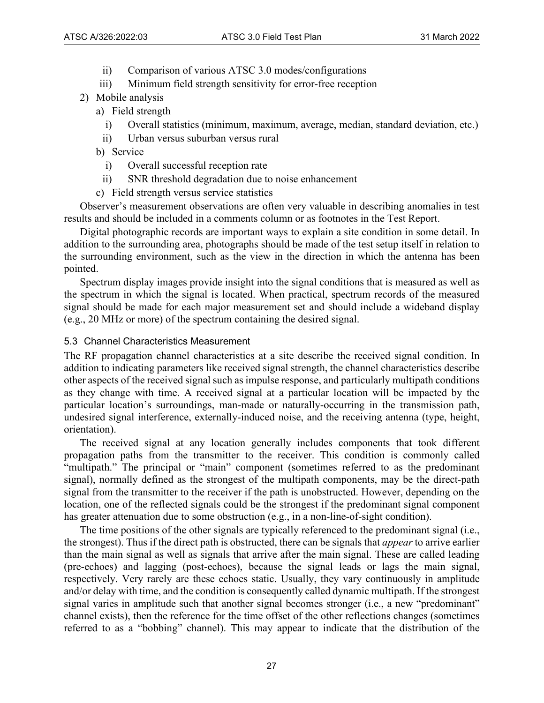- ii) Comparison of various ATSC 3.0 modes/configurations
- iii) Minimum field strength sensitivity for error-free reception
- 2) Mobile analysis
	- a) Field strength
		- i) Overall statistics (minimum, maximum, average, median, standard deviation, etc.)
		- ii) Urban versus suburban versus rural
	- b) Service
		- i) Overall successful reception rate
		- ii) SNR threshold degradation due to noise enhancement
	- c) Field strength versus service statistics

Observer's measurement observations are often very valuable in describing anomalies in test results and should be included in a comments column or as footnotes in the Test Report.

Digital photographic records are important ways to explain a site condition in some detail. In addition to the surrounding area, photographs should be made of the test setup itself in relation to the surrounding environment, such as the view in the direction in which the antenna has been pointed.

Spectrum display images provide insight into the signal conditions that is measured as well as the spectrum in which the signal is located. When practical, spectrum records of the measured signal should be made for each major measurement set and should include a wideband display (e.g., 20 MHz or more) of the spectrum containing the desired signal.

## <span id="page-31-0"></span>5.3 Channel Characteristics Measurement

The RF propagation channel characteristics at a site describe the received signal condition. In addition to indicating parameters like received signal strength, the channel characteristics describe other aspects of the received signal such as impulse response, and particularly multipath conditions as they change with time. A received signal at a particular location will be impacted by the particular location's surroundings, man-made or naturally-occurring in the transmission path, undesired signal interference, externally-induced noise, and the receiving antenna (type, height, orientation).

The received signal at any location generally includes components that took different propagation paths from the transmitter to the receiver. This condition is commonly called "multipath." The principal or "main" component (sometimes referred to as the predominant signal), normally defined as the strongest of the multipath components, may be the direct-path signal from the transmitter to the receiver if the path is unobstructed. However, depending on the location, one of the reflected signals could be the strongest if the predominant signal component has greater attenuation due to some obstruction (e.g., in a non-line-of-sight condition).

The time positions of the other signals are typically referenced to the predominant signal (i.e., the strongest). Thus if the direct path is obstructed, there can be signals that *appear* to arrive earlier than the main signal as well as signals that arrive after the main signal. These are called leading (pre-echoes) and lagging (post-echoes), because the signal leads or lags the main signal, respectively. Very rarely are these echoes static. Usually, they vary continuously in amplitude and/or delay with time, and the condition is consequently called dynamic multipath. If the strongest signal varies in amplitude such that another signal becomes stronger (i.e., a new "predominant" channel exists), then the reference for the time offset of the other reflections changes (sometimes referred to as a "bobbing" channel). This may appear to indicate that the distribution of the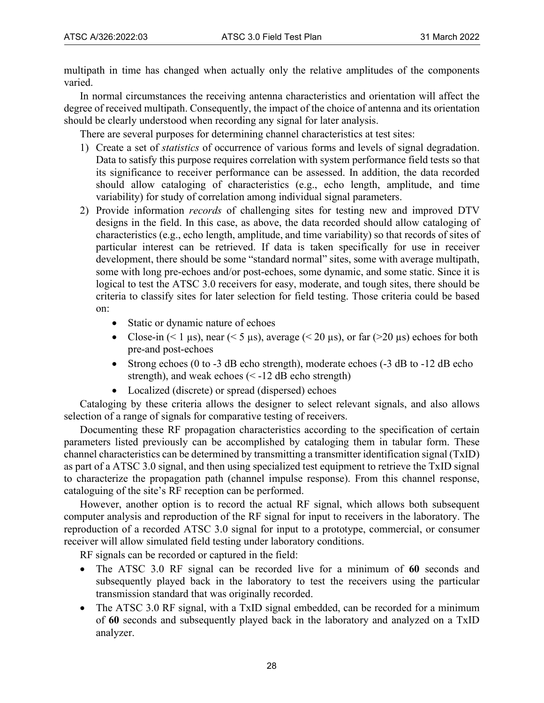multipath in time has changed when actually only the relative amplitudes of the components varied.

In normal circumstances the receiving antenna characteristics and orientation will affect the degree of received multipath. Consequently, the impact of the choice of antenna and its orientation should be clearly understood when recording any signal for later analysis.

There are several purposes for determining channel characteristics at test sites:

- 1) Create a set of *statistics* of occurrence of various forms and levels of signal degradation. Data to satisfy this purpose requires correlation with system performance field tests so that its significance to receiver performance can be assessed. In addition, the data recorded should allow cataloging of characteristics (e.g., echo length, amplitude, and time variability) for study of correlation among individual signal parameters.
- 2) Provide information *records* of challenging sites for testing new and improved DTV designs in the field. In this case, as above, the data recorded should allow cataloging of characteristics (e.g., echo length, amplitude, and time variability) so that records of sites of particular interest can be retrieved. If data is taken specifically for use in receiver development, there should be some "standard normal" sites, some with average multipath, some with long pre-echoes and/or post-echoes, some dynamic, and some static. Since it is logical to test the ATSC 3.0 receivers for easy, moderate, and tough sites, there should be criteria to classify sites for later selection for field testing. Those criteria could be based on:
	- Static or dynamic nature of echoes
	- Close-in (< 1  $\mu$ s), near (< 5  $\mu$ s), average (< 20  $\mu$ s), or far (> 20  $\mu$ s) echoes for both pre-and post-echoes
	- Strong echoes (0 to -3 dB echo strength), moderate echoes (-3 dB to -12 dB echo strength), and weak echoes  $\leq -12$  dB echo strength)
	- Localized (discrete) or spread (dispersed) echoes

Cataloging by these criteria allows the designer to select relevant signals, and also allows selection of a range of signals for comparative testing of receivers.

Documenting these RF propagation characteristics according to the specification of certain parameters listed previously can be accomplished by cataloging them in tabular form. These channel characteristics can be determined by transmitting a transmitter identification signal (TxID) as part of a ATSC 3.0 signal, and then using specialized test equipment to retrieve the TxID signal to characterize the propagation path (channel impulse response). From this channel response, cataloguing of the site's RF reception can be performed.

However, another option is to record the actual RF signal, which allows both subsequent computer analysis and reproduction of the RF signal for input to receivers in the laboratory. The reproduction of a recorded ATSC 3.0 signal for input to a prototype, commercial, or consumer receiver will allow simulated field testing under laboratory conditions.

RF signals can be recorded or captured in the field:

- The ATSC 3.0 RF signal can be recorded live for a minimum of **60** seconds and subsequently played back in the laboratory to test the receivers using the particular transmission standard that was originally recorded.
- The ATSC 3.0 RF signal, with a TxID signal embedded, can be recorded for a minimum of **60** seconds and subsequently played back in the laboratory and analyzed on a TxID analyzer.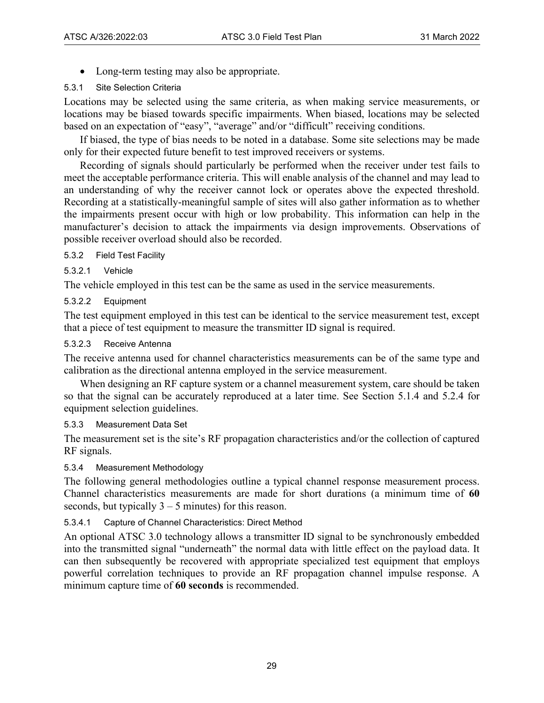• Long-term testing may also be appropriate.

## <span id="page-33-0"></span>5.3.1 Site Selection Criteria

Locations may be selected using the same criteria, as when making service measurements, or locations may be biased towards specific impairments. When biased, locations may be selected based on an expectation of "easy", "average" and/or "difficult" receiving conditions.

If biased, the type of bias needs to be noted in a database. Some site selections may be made only for their expected future benefit to test improved receivers or systems.

Recording of signals should particularly be performed when the receiver under test fails to meet the acceptable performance criteria. This will enable analysis of the channel and may lead to an understanding of why the receiver cannot lock or operates above the expected threshold. Recording at a statistically-meaningful sample of sites will also gather information as to whether the impairments present occur with high or low probability. This information can help in the manufacturer's decision to attack the impairments via design improvements. Observations of possible receiver overload should also be recorded.

## <span id="page-33-1"></span>5.3.2 Field Test Facility

## 5.3.2.1 Vehicle

The vehicle employed in this test can be the same as used in the service measurements.

## 5.3.2.2 Equipment

The test equipment employed in this test can be identical to the service measurement test, except that a piece of test equipment to measure the transmitter ID signal is required.

## 5.3.2.3 Receive Antenna

The receive antenna used for channel characteristics measurements can be of the same type and calibration as the directional antenna employed in the service measurement.

When designing an RF capture system or a channel measurement system, care should be taken so that the signal can be accurately reproduced at a later time. See Section [5.1.4](#page-18-0) and [5.2.4](#page-24-0) for equipment selection guidelines.

#### <span id="page-33-2"></span>5.3.3 Measurement Data Set

The measurement set is the site's RF propagation characteristics and/or the collection of captured RF signals.

#### <span id="page-33-3"></span>5.3.4 Measurement Methodology

The following general methodologies outline a typical channel response measurement process. Channel characteristics measurements are made for short durations (a minimum time of **60** seconds, but typically  $3 - 5$  minutes) for this reason.

## 5.3.4.1 Capture of Channel Characteristics: Direct Method

An optional ATSC 3.0 technology allows a transmitter ID signal to be synchronously embedded into the transmitted signal "underneath" the normal data with little effect on the payload data. It can then subsequently be recovered with appropriate specialized test equipment that employs powerful correlation techniques to provide an RF propagation channel impulse response. A minimum capture time of **60 seconds** is recommended.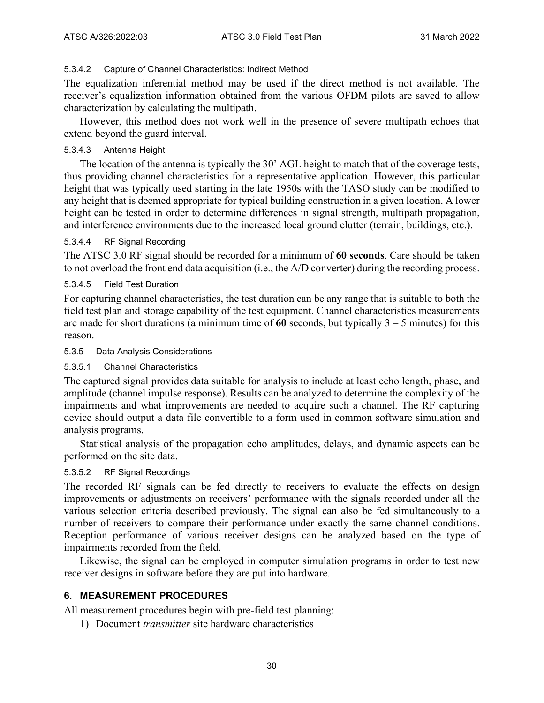## 5.3.4.2 Capture of Channel Characteristics: Indirect Method

The equalization inferential method may be used if the direct method is not available. The receiver's equalization information obtained from the various OFDM pilots are saved to allow characterization by calculating the multipath.

However, this method does not work well in the presence of severe multipath echoes that extend beyond the guard interval.

#### 5.3.4.3 Antenna Height

The location of the antenna is typically the 30' AGL height to match that of the coverage tests, thus providing channel characteristics for a representative application. However, this particular height that was typically used starting in the late 1950s with the TASO study can be modified to any height that is deemed appropriate for typical building construction in a given location. A lower height can be tested in order to determine differences in signal strength, multipath propagation, and interference environments due to the increased local ground clutter (terrain, buildings, etc.).

#### 5.3.4.4 RF Signal Recording

The ATSC 3.0 RF signal should be recorded for a minimum of **60 seconds**. Care should be taken to not overload the front end data acquisition (i.e., the A/D converter) during the recording process.

## 5.3.4.5 Field Test Duration

For capturing channel characteristics, the test duration can be any range that is suitable to both the field test plan and storage capability of the test equipment. Channel characteristics measurements are made for short durations (a minimum time of **60** seconds, but typically 3 – 5 minutes) for this reason.

#### <span id="page-34-0"></span>5.3.5 Data Analysis Considerations

#### 5.3.5.1 Channel Characteristics

The captured signal provides data suitable for analysis to include at least echo length, phase, and amplitude (channel impulse response). Results can be analyzed to determine the complexity of the impairments and what improvements are needed to acquire such a channel. The RF capturing device should output a data file convertible to a form used in common software simulation and analysis programs.

Statistical analysis of the propagation echo amplitudes, delays, and dynamic aspects can be performed on the site data.

#### 5.3.5.2 RF Signal Recordings

The recorded RF signals can be fed directly to receivers to evaluate the effects on design improvements or adjustments on receivers' performance with the signals recorded under all the various selection criteria described previously. The signal can also be fed simultaneously to a number of receivers to compare their performance under exactly the same channel conditions. Reception performance of various receiver designs can be analyzed based on the type of impairments recorded from the field.

Likewise, the signal can be employed in computer simulation programs in order to test new receiver designs in software before they are put into hardware.

## <span id="page-34-1"></span>**6. MEASUREMENT PROCEDURES**

All measurement procedures begin with pre-field test planning:

1) Document *transmitter* site hardware characteristics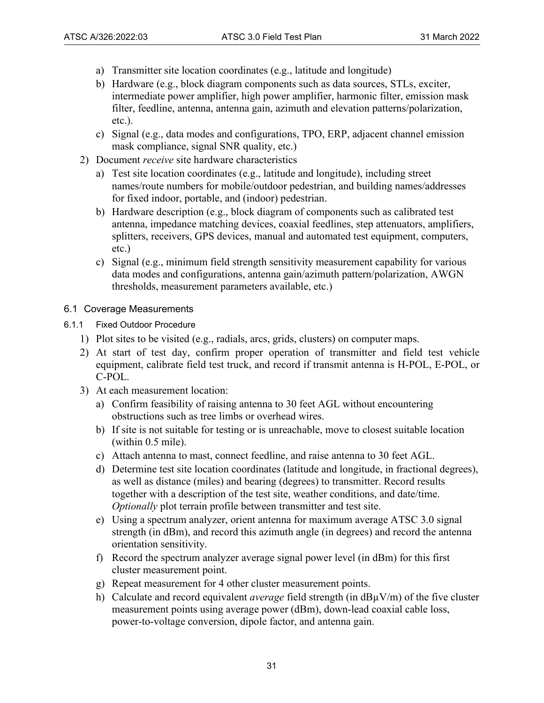- a) Transmitter site location coordinates (e.g., latitude and longitude)
- b) Hardware (e.g., block diagram components such as data sources, STLs, exciter, intermediate power amplifier, high power amplifier, harmonic filter, emission mask filter, feedline, antenna, antenna gain, azimuth and elevation patterns/polarization, etc.).
- c) Signal (e.g., data modes and configurations, TPO, ERP, adjacent channel emission mask compliance, signal SNR quality, etc.)
- 2) Document *receive* site hardware characteristics
	- a) Test site location coordinates (e.g., latitude and longitude), including street names/route numbers for mobile/outdoor pedestrian, and building names/addresses for fixed indoor, portable, and (indoor) pedestrian.
	- b) Hardware description (e.g., block diagram of components such as calibrated test antenna, impedance matching devices, coaxial feedlines, step attenuators, amplifiers, splitters, receivers, GPS devices, manual and automated test equipment, computers, etc.)
	- c) Signal (e.g., minimum field strength sensitivity measurement capability for various data modes and configurations, antenna gain/azimuth pattern/polarization, AWGN thresholds, measurement parameters available, etc.)

## <span id="page-35-0"></span>6.1 Coverage Measurements

- <span id="page-35-1"></span>6.1.1 Fixed Outdoor Procedure
	- 1) Plot sites to be visited (e.g., radials, arcs, grids, clusters) on computer maps.
	- 2) At start of test day, confirm proper operation of transmitter and field test vehicle equipment, calibrate field test truck, and record if transmit antenna is H-POL, E-POL, or C-POL.
	- 3) At each measurement location:
		- a) Confirm feasibility of raising antenna to 30 feet AGL without encountering obstructions such as tree limbs or overhead wires.
		- b) If site is not suitable for testing or is unreachable, move to closest suitable location (within 0.5 mile).
		- c) Attach antenna to mast, connect feedline, and raise antenna to 30 feet AGL.
		- d) Determine test site location coordinates (latitude and longitude, in fractional degrees), as well as distance (miles) and bearing (degrees) to transmitter. Record results together with a description of the test site, weather conditions, and date/time. *Optionally* plot terrain profile between transmitter and test site.
		- e) Using a spectrum analyzer, orient antenna for maximum average ATSC 3.0 signal strength (in dBm), and record this azimuth angle (in degrees) and record the antenna orientation sensitivity.
		- f) Record the spectrum analyzer average signal power level (in dBm) for this first cluster measurement point.
		- g) Repeat measurement for 4 other cluster measurement points.
		- h) Calculate and record equivalent *average* field strength (in dBµV/m) of the five cluster measurement points using average power (dBm), down-lead coaxial cable loss, power-to-voltage conversion, dipole factor, and antenna gain.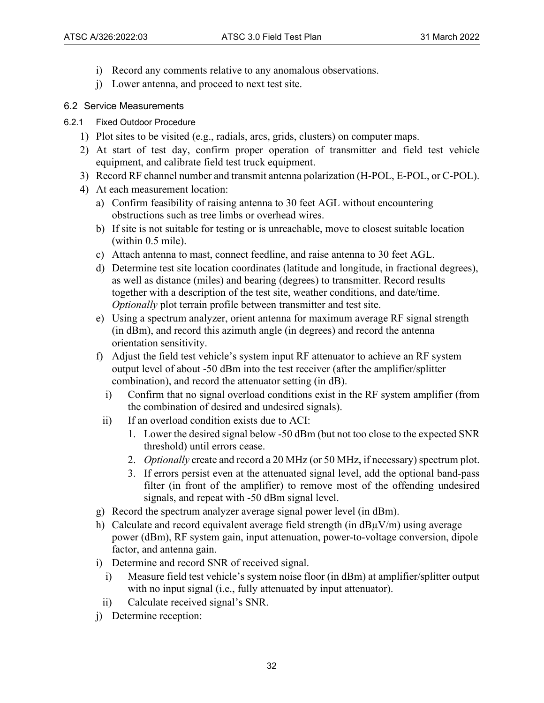- i) Record any comments relative to any anomalous observations.
- j) Lower antenna, and proceed to next test site.

## <span id="page-36-0"></span>6.2 Service Measurements

- <span id="page-36-1"></span>6.2.1 Fixed Outdoor Procedure
	- 1) Plot sites to be visited (e.g., radials, arcs, grids, clusters) on computer maps.
	- 2) At start of test day, confirm proper operation of transmitter and field test vehicle equipment, and calibrate field test truck equipment.
	- 3) Record RF channel number and transmit antenna polarization (H-POL, E-POL, or C-POL).
	- 4) At each measurement location:
		- a) Confirm feasibility of raising antenna to 30 feet AGL without encountering obstructions such as tree limbs or overhead wires.
		- b) If site is not suitable for testing or is unreachable, move to closest suitable location (within 0.5 mile).
		- c) Attach antenna to mast, connect feedline, and raise antenna to 30 feet AGL.
		- d) Determine test site location coordinates (latitude and longitude, in fractional degrees), as well as distance (miles) and bearing (degrees) to transmitter. Record results together with a description of the test site, weather conditions, and date/time. *Optionally* plot terrain profile between transmitter and test site.
		- e) Using a spectrum analyzer, orient antenna for maximum average RF signal strength (in dBm), and record this azimuth angle (in degrees) and record the antenna orientation sensitivity.
		- f) Adjust the field test vehicle's system input RF attenuator to achieve an RF system output level of about -50 dBm into the test receiver (after the amplifier/splitter combination), and record the attenuator setting (in dB).
			- i) Confirm that no signal overload conditions exist in the RF system amplifier (from the combination of desired and undesired signals).
			- ii) If an overload condition exists due to ACI:
				- 1. Lower the desired signal below -50 dBm (but not too close to the expected SNR threshold) until errors cease.
				- 2. *Optionally* create and record a 20 MHz (or 50 MHz, if necessary) spectrum plot.
				- 3. If errors persist even at the attenuated signal level, add the optional band-pass filter (in front of the amplifier) to remove most of the offending undesired signals, and repeat with -50 dBm signal level.
		- g) Record the spectrum analyzer average signal power level (in dBm).
		- h) Calculate and record equivalent average field strength (in  $dB\mu V/m$ ) using average power (dBm), RF system gain, input attenuation, power-to-voltage conversion, dipole factor, and antenna gain.
		- i) Determine and record SNR of received signal.
			- i) Measure field test vehicle's system noise floor (in dBm) at amplifier/splitter output with no input signal (i.e., fully attenuated by input attenuator).
			- ii) Calculate received signal's SNR.
		- j) Determine reception: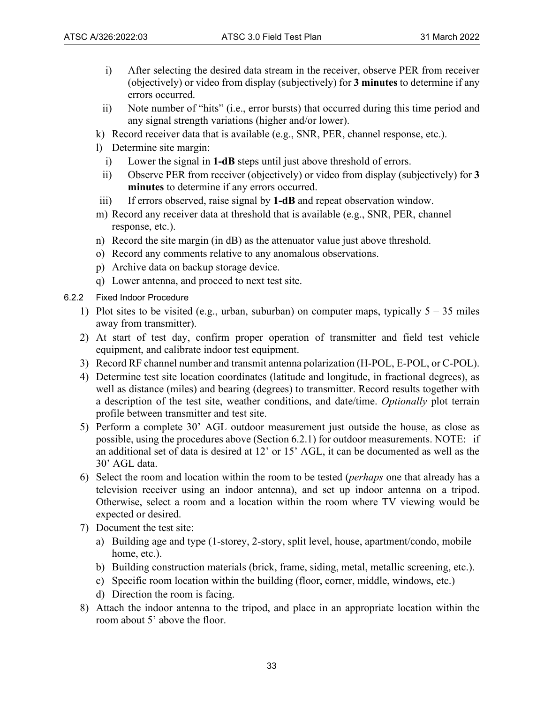- i) After selecting the desired data stream in the receiver, observe PER from receiver (objectively) or video from display (subjectively) for **3 minutes** to determine if any errors occurred.
- ii) Note number of "hits" (i.e., error bursts) that occurred during this time period and any signal strength variations (higher and/or lower).
- k) Record receiver data that is available (e.g., SNR, PER, channel response, etc.).
- l) Determine site margin:
	- i) Lower the signal in **1-dB** steps until just above threshold of errors.
	- ii) Observe PER from receiver (objectively) or video from display (subjectively) for **3 minutes** to determine if any errors occurred.
- iii) If errors observed, raise signal by **1-dB** and repeat observation window.
- m) Record any receiver data at threshold that is available (e.g., SNR, PER, channel response, etc.).
- n) Record the site margin (in dB) as the attenuator value just above threshold.
- o) Record any comments relative to any anomalous observations.
- p) Archive data on backup storage device.
- q) Lower antenna, and proceed to next test site.
- <span id="page-37-0"></span>6.2.2 Fixed Indoor Procedure
	- 1) Plot sites to be visited (e.g., urban, suburban) on computer maps, typically  $5 35$  miles away from transmitter).
	- 2) At start of test day, confirm proper operation of transmitter and field test vehicle equipment, and calibrate indoor test equipment.
	- 3) Record RF channel number and transmit antenna polarization (H-POL, E-POL, or C-POL).
	- 4) Determine test site location coordinates (latitude and longitude, in fractional degrees), as well as distance (miles) and bearing (degrees) to transmitter. Record results together with a description of the test site, weather conditions, and date/time. *Optionally* plot terrain profile between transmitter and test site.
	- 5) Perform a complete 30' AGL outdoor measurement just outside the house, as close as possible, using the procedures above (Section [6.2.1\)](#page-36-1) for outdoor measurements. NOTE: if an additional set of data is desired at 12' or 15' AGL, it can be documented as well as the 30' AGL data.
	- 6) Select the room and location within the room to be tested (*perhaps* one that already has a television receiver using an indoor antenna), and set up indoor antenna on a tripod. Otherwise, select a room and a location within the room where TV viewing would be expected or desired.
	- 7) Document the test site:
		- a) Building age and type (1-storey, 2-story, split level, house, apartment/condo, mobile home, etc.).
		- b) Building construction materials (brick, frame, siding, metal, metallic screening, etc.).
		- c) Specific room location within the building (floor, corner, middle, windows, etc.)
		- d) Direction the room is facing.
	- 8) Attach the indoor antenna to the tripod, and place in an appropriate location within the room about 5' above the floor.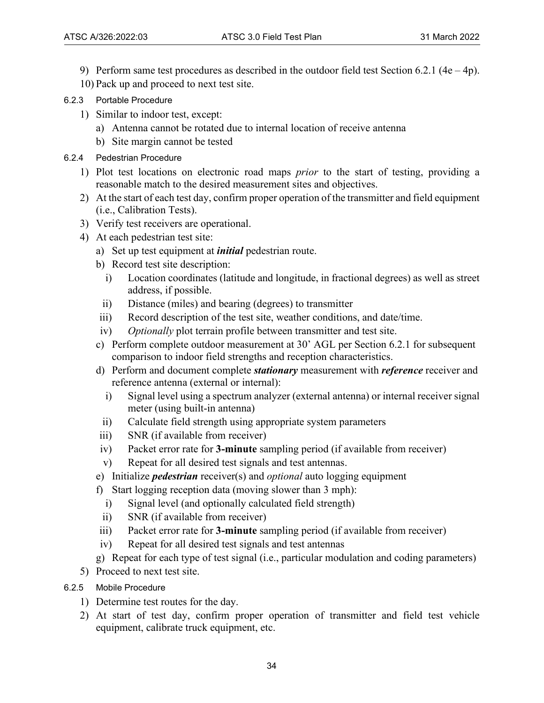- 9) Perform same test procedures as described in the outdoor field test Section [6.2.1](#page-36-1) (4e 4p).
- 10) Pack up and proceed to next test site.
- <span id="page-38-0"></span>6.2.3 Portable Procedure
	- 1) Similar to indoor test, except:
		- a) Antenna cannot be rotated due to internal location of receive antenna
		- b) Site margin cannot be tested
- <span id="page-38-1"></span>6.2.4 Pedestrian Procedure
	- 1) Plot test locations on electronic road maps *prior* to the start of testing, providing a reasonable match to the desired measurement sites and objectives.
	- 2) At the start of each test day, confirm proper operation of the transmitter and field equipment (i.e., Calibration Tests).
	- 3) Verify test receivers are operational.
	- 4) At each pedestrian test site:
		- a) Set up test equipment at *initial* pedestrian route.
		- b) Record test site description:
			- i) Location coordinates (latitude and longitude, in fractional degrees) as well as street address, if possible.
		- ii) Distance (miles) and bearing (degrees) to transmitter
		- iii) Record description of the test site, weather conditions, and date/time.
		- iv) *Optionally* plot terrain profile between transmitter and test site.
		- c) Perform complete outdoor measurement at 30' AGL per Section [6.2.1](#page-36-1) for subsequent comparison to indoor field strengths and reception characteristics.
		- d) Perform and document complete *stationary* measurement with *reference* receiver and reference antenna (external or internal):
			- i) Signal level using a spectrum analyzer (external antenna) or internal receiver signal meter (using built-in antenna)
			- ii) Calculate field strength using appropriate system parameters
		- iii) SNR (if available from receiver)
		- iv) Packet error rate for **3-minute** sampling period (if available from receiver)
		- v) Repeat for all desired test signals and test antennas.
		- e) Initialize *pedestrian* receiver(s) and *optional* auto logging equipment
		- f) Start logging reception data (moving slower than 3 mph):
			- i) Signal level (and optionally calculated field strength)
			- ii) SNR (if available from receiver)
		- iii) Packet error rate for **3-minute** sampling period (if available from receiver)
		- iv) Repeat for all desired test signals and test antennas
		- g) Repeat for each type of test signal (i.e., particular modulation and coding parameters)
	- 5) Proceed to next test site.
- <span id="page-38-2"></span>6.2.5 Mobile Procedure
	- 1) Determine test routes for the day.
	- 2) At start of test day, confirm proper operation of transmitter and field test vehicle equipment, calibrate truck equipment, etc.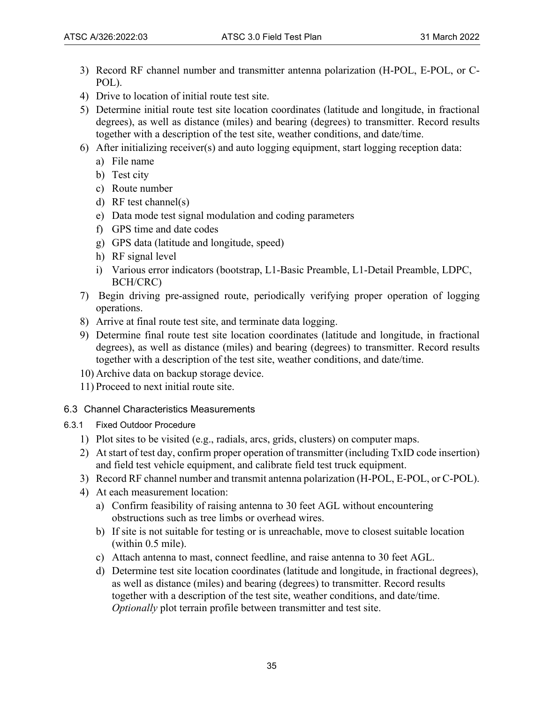- 3) Record RF channel number and transmitter antenna polarization (H-POL, E-POL, or C-POL).
- 4) Drive to location of initial route test site.
- 5) Determine initial route test site location coordinates (latitude and longitude, in fractional degrees), as well as distance (miles) and bearing (degrees) to transmitter. Record results together with a description of the test site, weather conditions, and date/time.
- 6) After initializing receiver(s) and auto logging equipment, start logging reception data:
	- a) File name
	- b) Test city
	- c) Route number
	- d) RF test channel(s)
	- e) Data mode test signal modulation and coding parameters
	- f) GPS time and date codes
	- g) GPS data (latitude and longitude, speed)
	- h) RF signal level
	- i) Various error indicators (bootstrap, L1-Basic Preamble, L1-Detail Preamble, LDPC, BCH/CRC)
- 7) Begin driving pre-assigned route, periodically verifying proper operation of logging operations.
- 8) Arrive at final route test site, and terminate data logging.
- 9) Determine final route test site location coordinates (latitude and longitude, in fractional degrees), as well as distance (miles) and bearing (degrees) to transmitter. Record results together with a description of the test site, weather conditions, and date/time.
- 10) Archive data on backup storage device.
- 11) Proceed to next initial route site.

## <span id="page-39-0"></span>6.3 Channel Characteristics Measurements

- <span id="page-39-1"></span>6.3.1 Fixed Outdoor Procedure
	- 1) Plot sites to be visited (e.g., radials, arcs, grids, clusters) on computer maps.
	- 2) At start of test day, confirm proper operation of transmitter (including TxID code insertion) and field test vehicle equipment, and calibrate field test truck equipment.
	- 3) Record RF channel number and transmit antenna polarization (H-POL, E-POL, or C-POL).
	- 4) At each measurement location:
		- a) Confirm feasibility of raising antenna to 30 feet AGL without encountering obstructions such as tree limbs or overhead wires.
		- b) If site is not suitable for testing or is unreachable, move to closest suitable location (within 0.5 mile).
		- c) Attach antenna to mast, connect feedline, and raise antenna to 30 feet AGL.
		- d) Determine test site location coordinates (latitude and longitude, in fractional degrees), as well as distance (miles) and bearing (degrees) to transmitter. Record results together with a description of the test site, weather conditions, and date/time. *Optionally* plot terrain profile between transmitter and test site.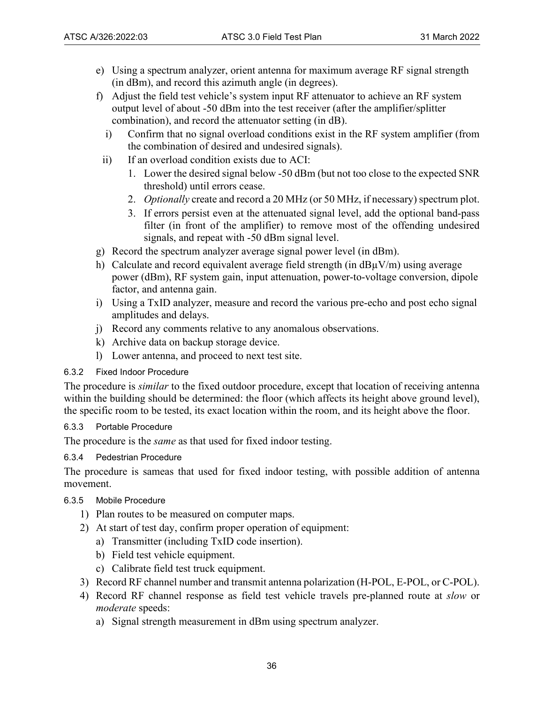- e) Using a spectrum analyzer, orient antenna for maximum average RF signal strength (in dBm), and record this azimuth angle (in degrees).
- f) Adjust the field test vehicle's system input RF attenuator to achieve an RF system output level of about -50 dBm into the test receiver (after the amplifier/splitter combination), and record the attenuator setting (in dB).
	- i) Confirm that no signal overload conditions exist in the RF system amplifier (from the combination of desired and undesired signals).
- ii) If an overload condition exists due to ACI:
	- 1. Lower the desired signal below -50 dBm (but not too close to the expected SNR threshold) until errors cease.
	- 2. *Optionally* create and record a 20 MHz (or 50 MHz, if necessary) spectrum plot.
	- 3. If errors persist even at the attenuated signal level, add the optional band-pass filter (in front of the amplifier) to remove most of the offending undesired signals, and repeat with -50 dBm signal level.
- g) Record the spectrum analyzer average signal power level (in dBm).
- h) Calculate and record equivalent average field strength (in  $dB\mu V/m$ ) using average power (dBm), RF system gain, input attenuation, power-to-voltage conversion, dipole factor, and antenna gain.
- i) Using a TxID analyzer, measure and record the various pre-echo and post echo signal amplitudes and delays.
- j) Record any comments relative to any anomalous observations.
- k) Archive data on backup storage device.
- l) Lower antenna, and proceed to next test site.

## <span id="page-40-0"></span>6.3.2 Fixed Indoor Procedure

The procedure is *similar* to the fixed outdoor procedure, except that location of receiving antenna within the building should be determined: the floor (which affects its height above ground level), the specific room to be tested, its exact location within the room, and its height above the floor.

## <span id="page-40-1"></span>6.3.3 Portable Procedure

The procedure is the *same* as that used for fixed indoor testing.

## <span id="page-40-2"></span>6.3.4 Pedestrian Procedure

The procedure is sameas that used for fixed indoor testing, with possible addition of antenna movement.

## <span id="page-40-3"></span>6.3.5 Mobile Procedure

- 1) Plan routes to be measured on computer maps.
- 2) At start of test day, confirm proper operation of equipment:
	- a) Transmitter (including TxID code insertion).
	- b) Field test vehicle equipment.
	- c) Calibrate field test truck equipment.
- 3) Record RF channel number and transmit antenna polarization (H-POL, E-POL, or C-POL).
- 4) Record RF channel response as field test vehicle travels pre-planned route at *slow* or *moderate* speeds:
	- a) Signal strength measurement in dBm using spectrum analyzer.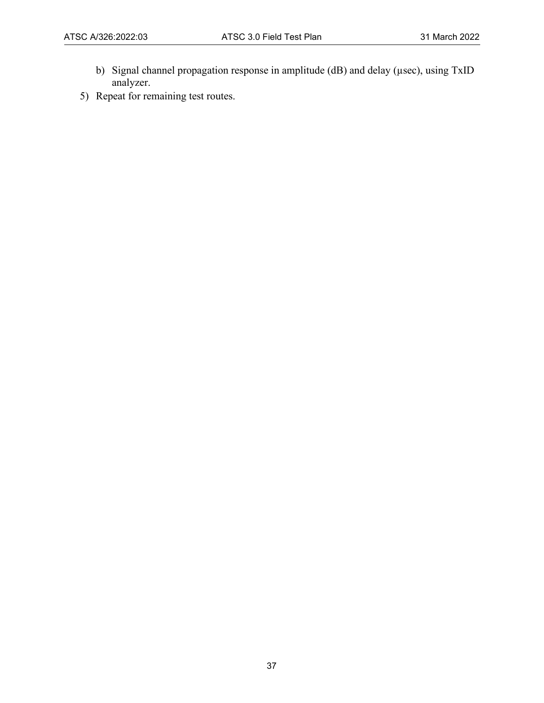- b) Signal channel propagation response in amplitude (dB) and delay (µsec), using TxID analyzer.
- 5) Repeat for remaining test routes.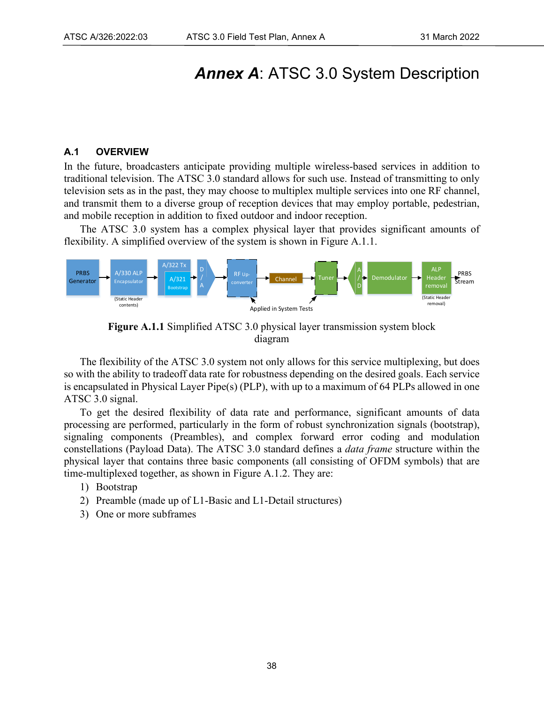## *Annex A*: ATSC 3.0 System Description

#### <span id="page-42-1"></span><span id="page-42-0"></span>**A.1 OVERVIEW**

In the future, broadcasters anticipate providing multiple wireless-based services in addition to traditional television. The ATSC 3.0 standard allows for such use. Instead of transmitting to only television sets as in the past, they may choose to multiplex multiple services into one RF channel, and transmit them to a diverse group of reception devices that may employ portable, pedestrian, and mobile reception in addition to fixed outdoor and indoor reception.

The ATSC 3.0 system has a complex physical layer that provides significant amounts of flexibility. A simplified overview of the system is shown in [Figure A.1.1.](#page-42-2)



**Figure A.1.1** Simplified ATSC 3.0 physical layer transmission system block diagram

<span id="page-42-2"></span>The flexibility of the ATSC 3.0 system not only allows for this service multiplexing, but does so with the ability to tradeoff data rate for robustness depending on the desired goals. Each service is encapsulated in Physical Layer Pipe(s) (PLP), with up to a maximum of 64 PLPs allowed in one ATSC 3.0 signal.

To get the desired flexibility of data rate and performance, significant amounts of data processing are performed, particularly in the form of robust synchronization signals (bootstrap), signaling components (Preambles), and complex forward error coding and modulation constellations (Payload Data). The ATSC 3.0 standard defines a *data frame* structure within the physical layer that contains three basic components (all consisting of OFDM symbols) that are time-multiplexed together, as shown in [Figure A.1.2.](#page-43-1) They are:

- 1) Bootstrap
- 2) Preamble (made up of L1-Basic and L1-Detail structures)
- 3) One or more subframes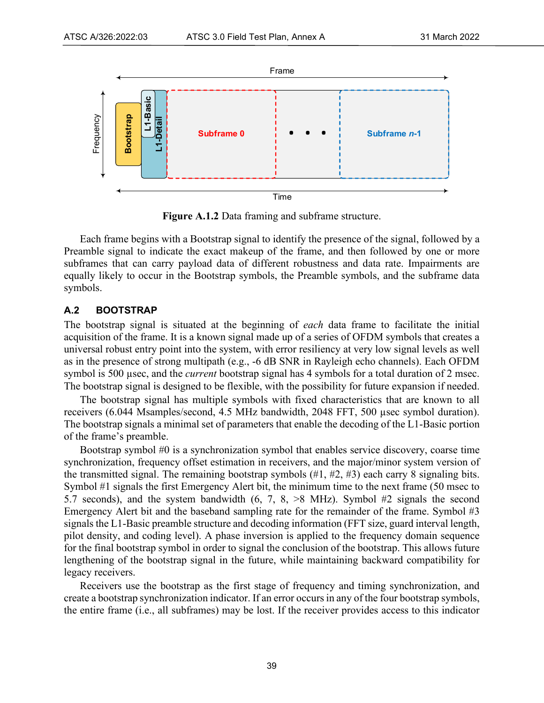

**Figure A.1.2** Data framing and subframe structure.

<span id="page-43-1"></span>Each frame begins with a Bootstrap signal to identify the presence of the signal, followed by a Preamble signal to indicate the exact makeup of the frame, and then followed by one or more subframes that can carry payload data of different robustness and data rate. Impairments are equally likely to occur in the Bootstrap symbols, the Preamble symbols, and the subframe data symbols.

#### <span id="page-43-0"></span>**A.2 BOOTSTRAP**

The bootstrap signal is situated at the beginning of *each* data frame to facilitate the initial acquisition of the frame. It is a known signal made up of a series of OFDM symbols that creates a universal robust entry point into the system, with error resiliency at very low signal levels as well as in the presence of strong multipath (e.g., -6 dB SNR in Rayleigh echo channels). Each OFDM symbol is 500 µsec, and the *current* bootstrap signal has 4 symbols for a total duration of 2 msec. The bootstrap signal is designed to be flexible, with the possibility for future expansion if needed.

The bootstrap signal has multiple symbols with fixed characteristics that are known to all receivers (6.044 Msamples/second, 4.5 MHz bandwidth, 2048 FFT, 500 µsec symbol duration). The bootstrap signals a minimal set of parameters that enable the decoding of the L1-Basic portion of the frame's preamble.

Bootstrap symbol #0 is a synchronization symbol that enables service discovery, coarse time synchronization, frequency offset estimation in receivers, and the major/minor system version of the transmitted signal. The remaining bootstrap symbols  $(\#1, \#2, \#3)$  each carry 8 signaling bits. Symbol #1 signals the first Emergency Alert bit, the minimum time to the next frame (50 msec to 5.7 seconds), and the system bandwidth (6, 7, 8, >8 MHz). Symbol #2 signals the second Emergency Alert bit and the baseband sampling rate for the remainder of the frame. Symbol #3 signals the L1-Basic preamble structure and decoding information (FFT size, guard interval length, pilot density, and coding level). A phase inversion is applied to the frequency domain sequence for the final bootstrap symbol in order to signal the conclusion of the bootstrap. This allows future lengthening of the bootstrap signal in the future, while maintaining backward compatibility for legacy receivers.

Receivers use the bootstrap as the first stage of frequency and timing synchronization, and create a bootstrap synchronization indicator. If an error occurs in any of the four bootstrap symbols, the entire frame (i.e., all subframes) may be lost. If the receiver provides access to this indicator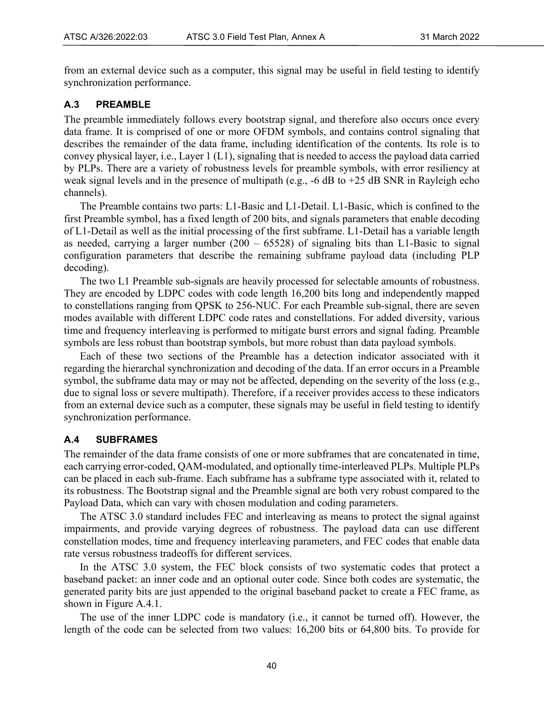from an external device such as a computer, this signal may be useful in field testing to identify synchronization performance.

#### <span id="page-44-0"></span>**A.3 PREAMBLE**

The preamble immediately follows every bootstrap signal, and therefore also occurs once every data frame. It is comprised of one or more OFDM symbols, and contains control signaling that describes the remainder of the data frame, including identification of the contents. Its role is to convey physical layer, i.e., Layer 1 (L1), signaling that is needed to access the payload data carried by PLPs. There are a variety of robustness levels for preamble symbols, with error resiliency at weak signal levels and in the presence of multipath (e.g., -6 dB to +25 dB SNR in Rayleigh echo channels).

The Preamble contains two parts: L1-Basic and L1-Detail. L1-Basic, which is confined to the first Preamble symbol, has a fixed length of 200 bits, and signals parameters that enable decoding of L1-Detail as well as the initial processing of the first subframe. L1-Detail has a variable length as needed, carrying a larger number  $(200 - 65528)$  of signaling bits than L1-Basic to signal configuration parameters that describe the remaining subframe payload data (including PLP decoding).

The two L1 Preamble sub-signals are heavily processed for selectable amounts of robustness. They are encoded by LDPC codes with code length 16,200 bits long and independently mapped to constellations ranging from QPSK to 256-NUC. For each Preamble sub-signal, there are seven modes available with different LDPC code rates and constellations. For added diversity, various time and frequency interleaving is performed to mitigate burst errors and signal fading. Preamble symbols are less robust than bootstrap symbols, but more robust than data payload symbols.

Each of these two sections of the Preamble has a detection indicator associated with it regarding the hierarchal synchronization and decoding of the data. If an error occurs in a Preamble symbol, the subframe data may or may not be affected, depending on the severity of the loss (e.g., due to signal loss or severe multipath). Therefore, if a receiver provides access to these indicators from an external device such as a computer, these signals may be useful in field testing to identify synchronization performance.

#### <span id="page-44-1"></span>**A.4 SUBFRAMES**

The remainder of the data frame consists of one or more subframes that are concatenated in time, each carrying error-coded, QAM-modulated, and optionally time-interleaved PLPs. Multiple PLPs can be placed in each sub-frame. Each subframe has a subframe type associated with it, related to its robustness. The Bootstrap signal and the Preamble signal are both very robust compared to the Payload Data, which can vary with chosen modulation and coding parameters.

The ATSC 3.0 standard includes FEC and interleaving as means to protect the signal against impairments, and provide varying degrees of robustness. The payload data can use different constellation modes, time and frequency interleaving parameters, and FEC codes that enable data rate versus robustness tradeoffs for different services.

In the ATSC 3.0 system, the FEC block consists of two systematic codes that protect a baseband packet: an inner code and an optional outer code. Since both codes are systematic, the generated parity bits are just appended to the original baseband packet to create a FEC frame, as shown in [Figure A.4.1.](#page-45-0)

The use of the inner LDPC code is mandatory (i.e., it cannot be turned off). However, the length of the code can be selected from two values: 16,200 bits or 64,800 bits. To provide for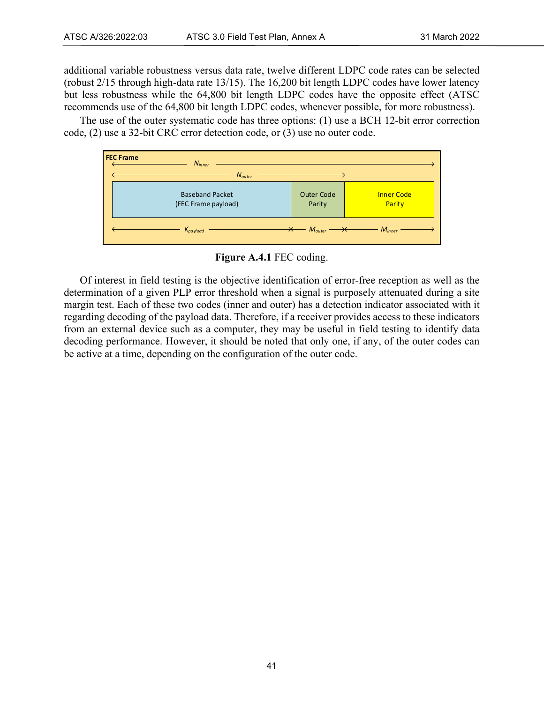additional variable robustness versus data rate, twelve different LDPC code rates can be selected (robust 2/15 through high-data rate 13/15). The 16,200 bit length LDPC codes have lower latency but less robustness while the 64,800 bit length LDPC codes have the opposite effect (ATSC recommends use of the 64,800 bit length LDPC codes, whenever possible, for more robustness).

The use of the outer systematic code has three options: (1) use a BCH 12-bit error correction code, (2) use a 32-bit CRC error detection code, or (3) use no outer code.



**Figure A.4.1** FEC coding.

<span id="page-45-0"></span>Of interest in field testing is the objective identification of error-free reception as well as the determination of a given PLP error threshold when a signal is purposely attenuated during a site margin test. Each of these two codes (inner and outer) has a detection indicator associated with it regarding decoding of the payload data. Therefore, if a receiver provides access to these indicators from an external device such as a computer, they may be useful in field testing to identify data decoding performance. However, it should be noted that only one, if any, of the outer codes can be active at a time, depending on the configuration of the outer code.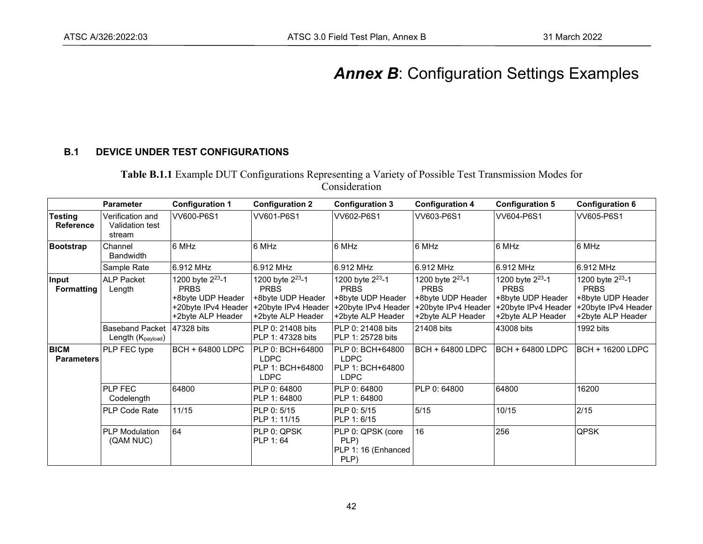## *Annex B*: Configuration Settings Examples

## **B.1 DEVICE UNDER TEST CONFIGURATIONS**

## **Table B.1.1** Example DUT Configurations Representing a Variety of Possible Test Transmission Modes for Consideration

<span id="page-46-1"></span><span id="page-46-0"></span>

|                                    | <b>Parameter</b>                                         | <b>Configuration 1</b>                                                                                       | <b>Configuration 2</b>                                                                                       | <b>Configuration 3</b>                                                                                       | <b>Configuration 4</b>                                                                                       | <b>Configuration 5</b>                                                                                | <b>Configuration 6</b>                                                                                       |
|------------------------------------|----------------------------------------------------------|--------------------------------------------------------------------------------------------------------------|--------------------------------------------------------------------------------------------------------------|--------------------------------------------------------------------------------------------------------------|--------------------------------------------------------------------------------------------------------------|-------------------------------------------------------------------------------------------------------|--------------------------------------------------------------------------------------------------------------|
| <b>Testing</b><br><b>Reference</b> | Verification and<br>Validation test<br>stream            | VV600-P6S1                                                                                                   | VV601-P6S1                                                                                                   | VV602-P6S1                                                                                                   | VV603-P6S1                                                                                                   | VV604-P6S1                                                                                            | VV605-P6S1                                                                                                   |
| <b>Bootstrap</b>                   | Channel<br><b>Bandwidth</b>                              | 6 MHz                                                                                                        | 6 MHz                                                                                                        | 6 MHz                                                                                                        | 6 MHz                                                                                                        | 6 MHz                                                                                                 | 6 MHz                                                                                                        |
|                                    | Sample Rate                                              | 6.912 MHz                                                                                                    | 6.912 MHz                                                                                                    | 6.912 MHz                                                                                                    | 6.912 MHz                                                                                                    | 6.912 MHz                                                                                             | 6.912 MHz                                                                                                    |
| Input<br>Formatting                | <b>ALP Packet</b><br>Length                              | 1200 byte 2 <sup>23</sup> -1<br><b>PRBS</b><br>+8byte UDP Header<br>+20byte IPv4 Header<br>+2byte ALP Header | 1200 byte 2 <sup>23</sup> -1<br><b>PRBS</b><br>+8byte UDP Header<br>+20byte IPv4 Header<br>+2byte ALP Header | 1200 byte 2 <sup>23</sup> -1<br><b>PRBS</b><br>+8byte UDP Header<br>+20byte IPv4 Header<br>+2byte ALP Header | 1200 byte 2 <sup>23</sup> -1<br><b>PRBS</b><br>+8byte UDP Header<br>+20byte IPv4 Header<br>+2byte ALP Header | 1200 byte $2^{23}$ -1<br><b>PRBS</b><br>+8byte UDP Header<br>+20byte IPv4 Header<br>+2byte ALP Header | 1200 byte 2 <sup>23</sup> -1<br><b>PRBS</b><br>+8byte UDP Header<br>+20byte IPv4 Header<br>+2byte ALP Header |
|                                    | <b>Baseband Packet</b><br>Length (K <sub>payload</sub> ) | 47328 bits                                                                                                   | PLP 0: 21408 bits<br>PLP 1: 47328 bits                                                                       | PLP 0: 21408 bits<br>PLP 1: 25728 bits                                                                       | 21408 bits                                                                                                   | 43008 bits                                                                                            | 1992 bits                                                                                                    |
| <b>BICM</b><br><b>Parameters</b>   | PLP FEC type                                             | BCH + 64800 LDPC                                                                                             | PLP 0: BCH+64800<br><b>LDPC</b><br>PLP 1: BCH+64800<br><b>LDPC</b>                                           | PLP 0: BCH+64800<br><b>LDPC</b><br>PLP 1: BCH+64800<br><b>LDPC</b>                                           | <b>BCH + 64800 LDPC</b>                                                                                      | <b>BCH + 64800 LDPC</b>                                                                               | <b>BCH + 16200 LDPC</b>                                                                                      |
|                                    | PLP FEC<br>Codelength                                    | 64800                                                                                                        | PLP 0: 64800<br>PLP 1: 64800                                                                                 | PLP 0: 64800<br>PLP 1: 64800                                                                                 | PLP 0: 64800                                                                                                 | 64800                                                                                                 | 16200                                                                                                        |
|                                    | <b>PLP Code Rate</b>                                     | 11/15                                                                                                        | PLP 0: 5/15<br>PLP 1: 11/15                                                                                  | PLP 0: 5/15<br>PLP 1: 6/15                                                                                   | 5/15                                                                                                         | 10/15                                                                                                 | 2/15                                                                                                         |
|                                    | <b>PLP Modulation</b><br>(QAM NUC)                       | 64                                                                                                           | PLP 0: QPSK<br>PLP 1:64                                                                                      | PLP 0: QPSK (core<br>PLP)<br>PLP 1: 16 (Enhanced<br>PLP)                                                     | 16                                                                                                           | 256                                                                                                   | QPSK                                                                                                         |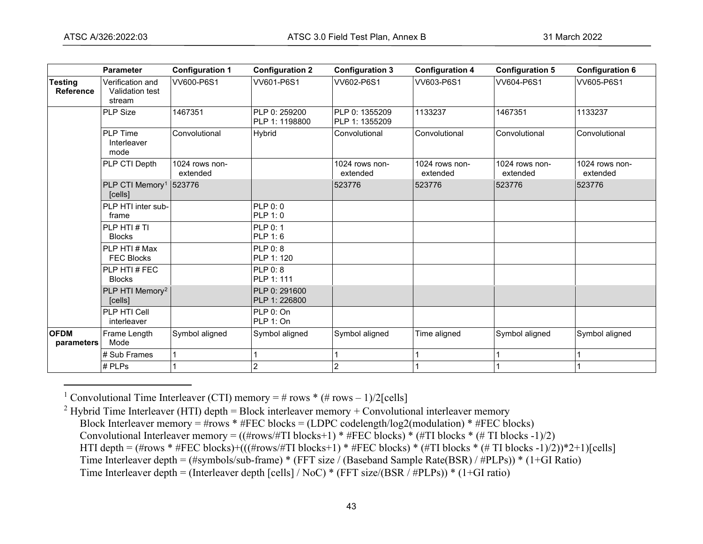<span id="page-47-1"></span><span id="page-47-0"></span>

|                             | <b>Parameter</b>                              | <b>Configuration 1</b>     | <b>Configuration 2</b>          | <b>Configuration 3</b>           | <b>Configuration 4</b>     | <b>Configuration 5</b>     | <b>Configuration 6</b>     |
|-----------------------------|-----------------------------------------------|----------------------------|---------------------------------|----------------------------------|----------------------------|----------------------------|----------------------------|
| <b>Testing</b><br>Reference | Verification and<br>Validation test<br>stream | VV600-P6S1                 | VV601-P6S1                      | VV602-P6S1                       | VV603-P6S1                 | VV604-P6S1                 | VV605-P6S1                 |
|                             | <b>PLP Size</b>                               | 1467351                    | PLP 0: 259200<br>PLP 1: 1198800 | PLP 0: 1355209<br>PLP 1: 1355209 | 1133237                    | 1467351                    | 1133237                    |
|                             | <b>PLP Time</b><br>Interleaver<br>mode        | Convolutional              | Hybrid                          | Convolutional                    | Convolutional              | Convolutional              | Convolutional              |
|                             | PLP CTI Depth                                 | 1024 rows non-<br>extended |                                 | 1024 rows non-<br>extended       | 1024 rows non-<br>extended | 1024 rows non-<br>extended | 1024 rows non-<br>extended |
|                             | PLP CTI Memory <sup>1</sup><br>[cells]        | 523776                     |                                 | 523776                           | 523776                     | 523776                     | 523776                     |
|                             | PLP HTI inter sub-<br>frame                   |                            | PLP 0: 0<br>PLP 1:0             |                                  |                            |                            |                            |
|                             | PLP HTI # TI<br><b>Blocks</b>                 |                            | PLP 0: 1<br>PLP 1:6             |                                  |                            |                            |                            |
|                             | PLP HTI # Max<br><b>FEC Blocks</b>            |                            | PLP 0: 8<br>PLP 1: 120          |                                  |                            |                            |                            |
|                             | PLP HTI # FEC<br><b>Blocks</b>                |                            | PLP 0: 8<br>PLP 1: 111          |                                  |                            |                            |                            |
|                             | PLP HTI Memory <sup>2</sup><br>[cells]        |                            | PLP 0: 291600<br>PLP 1: 226800  |                                  |                            |                            |                            |
|                             | PLP HTI Cell<br>interleaver                   |                            | PLP 0: On<br>PLP 1: On          |                                  |                            |                            |                            |
| <b>OFDM</b><br>parameters   | Frame Length<br>Mode                          | Symbol aligned             | Symbol aligned                  | Symbol aligned                   | Time aligned               | Symbol aligned             | Symbol aligned             |
|                             | # Sub Frames                                  |                            |                                 |                                  |                            |                            |                            |
|                             | # PLPs                                        |                            | $\overline{2}$                  | $\overline{c}$                   |                            |                            |                            |

<sup>1</sup> Convolutional Time Interleaver (CTI) memory = # rows \* (# rows - 1)/2[cells]

<sup>2</sup> Hybrid Time Interleaver (HTI) depth = Block interleaver memory + Convolutional interleaver memory Block Interleaver memory = #rows \* #FEC blocks = (LDPC codelength/log2(modulation) \* #FEC blocks) Convolutional Interleaver memory =  $((\text{\#rows}/\text{#TI blocks} + 1) * \text{\#FEC blocks}) * (\text{\#TI blocks} * (\text{\#TI blocks} - 1)/2)$ HTI depth =  $(\text{\#rows}^* \# FEC$  blocks)+ $(((\text{\#rows} \# TI \text{ blocks} + 1) * \# FEC$  blocks) \*  $(\#TI \text{ blocks}^* \# TI \text{ blocks} - 1)/2$ ))\*2+1)[cells] Time Interleaver depth = (#symbols/sub-frame) \* (FFT size / (Baseband Sample Rate(BSR) / #PLPs)) \* (1+GI Ratio) Time Interleaver depth = (Interleaver depth [cells] / NoC) \* (FFT size/(BSR / #PLPs)) \* (1+GI ratio)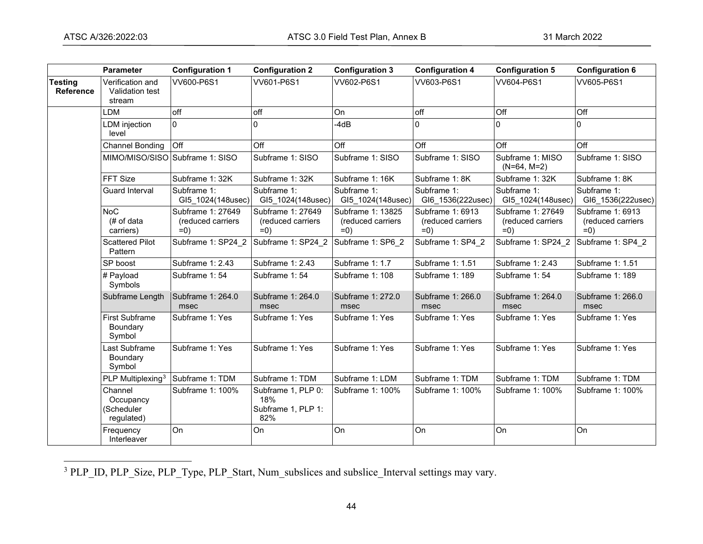<span id="page-48-0"></span>

|                                    | <b>Parameter</b>                                 | <b>Configuration 1</b>                          | <b>Configuration 2</b>                                 | <b>Configuration 3</b>                         | <b>Configuration 4</b>                          | <b>Configuration 5</b>                           | <b>Configuration 6</b>                        |
|------------------------------------|--------------------------------------------------|-------------------------------------------------|--------------------------------------------------------|------------------------------------------------|-------------------------------------------------|--------------------------------------------------|-----------------------------------------------|
| <b>Testing</b><br><b>Reference</b> | Verification and<br>Validation test<br>stream    | VV600-P6S1                                      | VV601-P6S1                                             | VV602-P6S1                                     | VV603-P6S1                                      | VV604-P6S1                                       | VV605-P6S1                                    |
|                                    | LDM                                              | off                                             | off                                                    | On                                             | off                                             | Off                                              | Off                                           |
|                                    | <b>LDM</b> injection<br>level                    | $\Omega$                                        | $\Omega$                                               | $-4dB$                                         | 0                                               | $\Omega$                                         | $\Omega$                                      |
|                                    | Channel Bonding                                  | Off                                             | Off                                                    | Off                                            | Off                                             | Off                                              | Off                                           |
|                                    |                                                  | MIMO/MISO/SISO Subframe 1: SISO                 | Subframe 1: SISO                                       | Subframe 1: SISO                               | Subframe 1: SISO                                | Subframe 1: MISO<br>$(N=64, M=2)$                | Subframe 1: SISO                              |
|                                    | FFT Size                                         | Subframe 1: 32K                                 | Subframe 1: 32K                                        | Subframe 1: 16K                                | Subframe 1: 8K                                  | Subframe 1: 32K                                  | Subframe 1: 8K                                |
|                                    | Guard Interval                                   | Subframe 1:<br>GI5_1024(148usec)                | Subframe 1:<br>GI5 1024(148usec)                       | Subframe 1:<br>GI5_1024(148usec)               | Subframe 1:<br>GI6_1536(222usec)                | Subframe 1:<br>GI5_1024(148usec)                 | Subframe 1:<br>GI6_1536(222usec)              |
|                                    | <b>NoC</b><br>(# of data<br>carriers)            | Subframe 1: 27649<br>(reduced carriers<br>$=0)$ | Subframe 1: 27649<br>(reduced carriers<br>$=0)$        | Subframe 1: 13825<br>(reduced carriers<br>$=0$ | Subframe 1: 6913<br>(reduced carriers<br>$=0$ ) | Subframe 1: 27649<br>(reduced carriers<br>$=0$ ) | Subframe 1: 6913<br>(reduced carriers<br>$=0$ |
|                                    | <b>Scattered Pilot</b><br>Pattern                | Subframe 1: SP24_2                              | Subframe 1: SP24 2                                     | Subframe 1: SP6 2                              | Subframe 1: SP4 2                               | Subframe 1: SP24 2                               | Subframe 1: SP4 2                             |
|                                    | SP boost                                         | Subframe 1: 2.43                                | Subframe 1: 2.43                                       | Subframe 1: 1.7                                | Subframe 1: 1.51                                | Subframe 1: 2.43                                 | Subframe 1: 1.51                              |
|                                    | # Payload<br>Symbols                             | Subframe 1:54                                   | Subframe 1:54                                          | Subframe 1: 108                                | Subframe 1: 189                                 | Subframe 1:54                                    | Subframe 1: 189                               |
|                                    | Subframe Length                                  | Subframe 1: 264.0<br>msec                       | Subframe 1: 264.0<br>msec                              | Subframe 1: 272.0<br>msec                      | Subframe 1: 266.0<br>msec                       | Subframe 1: 264.0<br>msec                        | Subframe 1: 266.0<br>msec                     |
|                                    | <b>First Subframe</b><br>Boundary<br>Symbol      | Subframe 1: Yes                                 | Subframe 1: Yes                                        | Subframe 1: Yes                                | Subframe 1: Yes                                 | Subframe 1: Yes                                  | Subframe 1: Yes                               |
|                                    | Last Subframe<br>Boundary<br>Symbol              | Subframe 1: Yes                                 | Subframe 1: Yes                                        | Subframe 1: Yes                                | Subframe 1: Yes                                 | Subframe 1: Yes                                  | Subframe 1: Yes                               |
|                                    | PLP Multiplexing <sup>3</sup>                    | Subframe 1: TDM                                 | Subframe 1: TDM                                        | Subframe 1: LDM                                | Subframe 1: TDM                                 | Subframe 1: TDM                                  | Subframe 1: TDM                               |
|                                    | Channel<br>Occupancy<br>(Scheduler<br>regulated) | Subframe 1: 100%                                | Subframe 1, PLP 0:<br>18%<br>Subframe 1, PLP 1:<br>82% | Subframe 1: 100%                               | Subframe 1: 100%                                | Subframe 1: 100%                                 | Subframe 1: 100%                              |
|                                    | Frequency<br>Interleaver                         | On                                              | On                                                     | On                                             | On                                              | On                                               | On                                            |

<sup>&</sup>lt;sup>3</sup> PLP\_ID, PLP\_Size, PLP\_Type, PLP\_Start, Num\_subslices and subslice\_Interval settings may vary.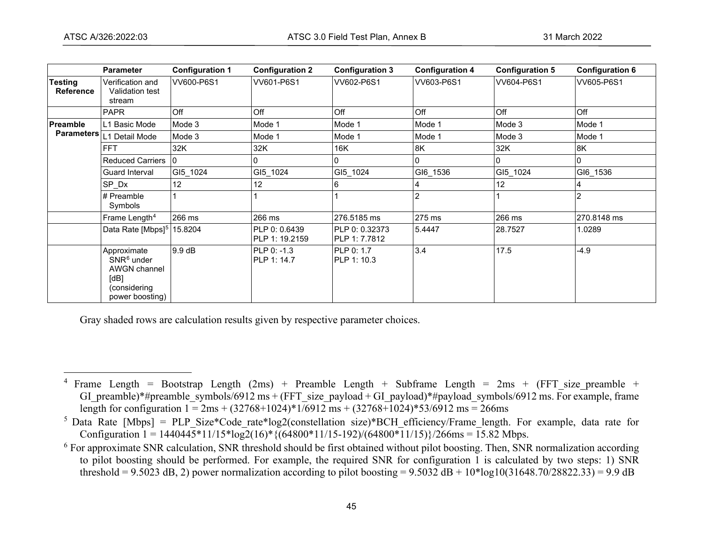<span id="page-49-2"></span><span id="page-49-1"></span><span id="page-49-0"></span>

|                             | <b>Parameter</b>                                                                       | <b>Configuration 1</b> | <b>Configuration 2</b>          | <b>Configuration 3</b>          | <b>Configuration 4</b> | <b>Configuration 5</b> | <b>Configuration 6</b> |
|-----------------------------|----------------------------------------------------------------------------------------|------------------------|---------------------------------|---------------------------------|------------------------|------------------------|------------------------|
| Testing<br><b>Reference</b> | Verification and<br>Validation test<br>stream                                          | VV600-P6S1             | VV601-P6S1                      | VV602-P6S1                      | VV603-P6S1             | VV604-P6S1             | VV605-P6S1             |
|                             | <b>PAPR</b>                                                                            | Off                    | Off                             | Off                             | Off                    | Off                    | Off                    |
| <b>Preamble</b>             | L1 Basic Mode                                                                          | Mode 3                 | Mode 1                          | Mode 1                          | Mode 1                 | Mode 3                 | Mode 1                 |
| <b>Parameters</b>           | L1 Detail Mode                                                                         | Mode 3                 | Mode 1                          | Mode 1                          | Mode 1                 | Mode 3                 | Mode 1                 |
|                             | <b>FFT</b>                                                                             | 32K                    | 32K                             | 16K                             | 8K                     | 32K                    | 8K                     |
|                             | <b>Reduced Carriers</b>                                                                | $\Omega$               | $\Omega$                        | 0                               | $\Omega$               | <b>0</b>               | $\mathbf{0}$           |
|                             | Guard Interval                                                                         | GI5_1024               | GI5_1024                        | GI5_1024                        | GI6_1536               | GI5_1024               | GI6_1536               |
|                             | SP Dx                                                                                  | 12                     | 12 <sup>°</sup>                 | 6                               | 4                      | 12                     | 4                      |
|                             | # Preamble<br>Symbols                                                                  |                        |                                 |                                 | 2                      |                        | $\overline{2}$         |
|                             | Frame Length <sup>4</sup>                                                              | 266 ms                 | 266 ms                          | 276.5185 ms                     | 275 ms                 | 266 ms                 | 270.8148 ms            |
|                             | Data Rate [Mbps] <sup>5</sup>                                                          | 15.8204                | PLP 0: 0.6439<br>PLP 1: 19.2159 | PLP 0: 0.32373<br>PLP 1: 7.7812 | 5.4447                 | 28.7527                | 1.0289                 |
|                             | Approximate<br>$SNR6$ under<br>AWGN channel<br>[dB]<br>(considering<br>power boosting) | 9.9 dB                 | $PLP 0: -1.3$<br>PLP 1: 14.7    | PLP 0: 1.7<br>PLP 1: 10.3       | 3.4                    | 17.5                   | $-4.9$                 |

Gray shaded rows are calculation results given by respective parameter choices.

<sup>&</sup>lt;sup>4</sup> Frame Length = Bootstrap Length (2ms) + Preamble Length + Subframe Length = 2ms + (FFT size preamble + GI\_preamble)\*#preamble\_symbols/6912 ms + (FFT\_size\_payload + GI\_payload)\*#payload\_symbols/6912 ms. For example, frame length for configuration  $1 = 2ms + (32768 + 1024) * 1/6912 ms + (32768 + 1024) * 53/6912 ms = 266ms$ 

<sup>&</sup>lt;sup>5</sup> Data Rate [Mbps] = PLP Size\*Code rate\*log2(constellation size)\*BCH efficiency/Frame length. For example, data rate for Configuration  $1 = 1440445*11/15*log2(16)*{(64800*11/15-192)/(64800*11/15)}/266ms = 15.82$  Mbps.

 $6$  For approximate SNR calculation, SNR threshold should be first obtained without pilot boosting. Then, SNR normalization according to pilot boosting should be performed. For example, the required SNR for configuration 1 is calculated by two steps: 1) SNR threshold = 9.5023 dB, 2) power normalization according to pilot boosting = 9.5032 dB + 10\*log10(31648.70/28822.33) = 9.9 dB